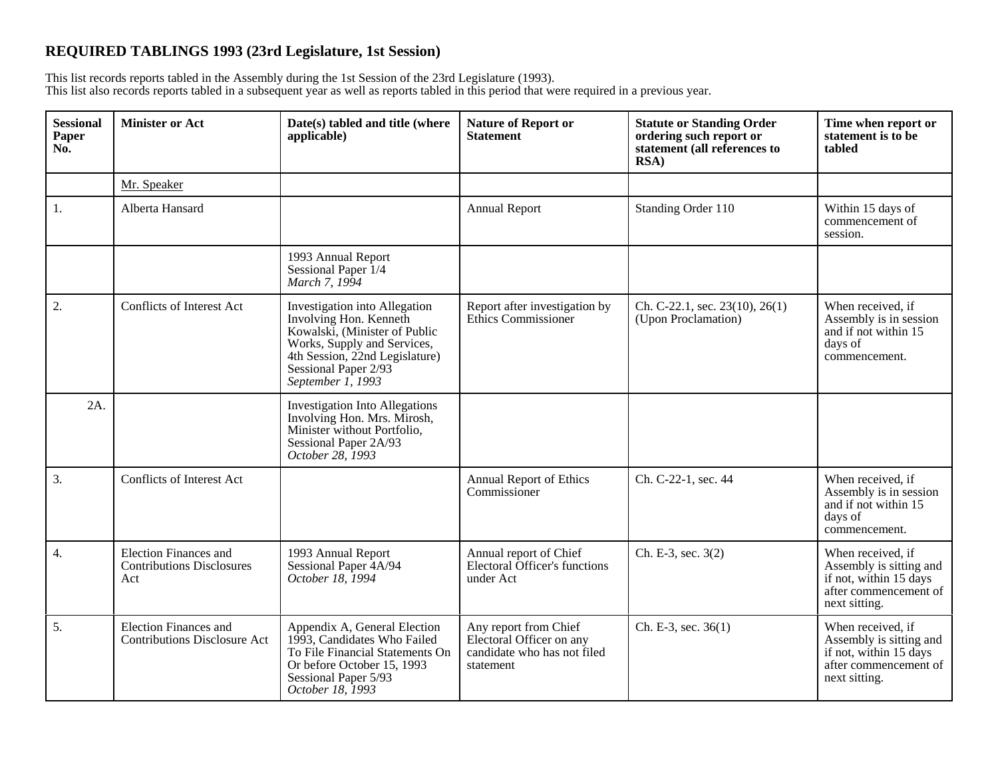## **REQUIRED TABLINGS 1993 (23rd Legislature, 1st Session)**

This list records reports tabled in the Assembly during the 1st Session of the 23rd Legislature (1993). This list also records reports tabled in a subsequent year as well as reports tabled in this period that were required in a previous year.

| <b>Sessional</b><br>Paper<br>No. | <b>Minister or Act</b>                                                  | Date(s) tabled and title (where<br>applicable)                                                                                                                                                         | <b>Nature of Report or</b><br><b>Statement</b>                                                | <b>Statute or Standing Order</b><br>ordering such report or<br>statement (all references to<br>RSA) | Time when report or<br>statement is to be<br>tabled                                                              |
|----------------------------------|-------------------------------------------------------------------------|--------------------------------------------------------------------------------------------------------------------------------------------------------------------------------------------------------|-----------------------------------------------------------------------------------------------|-----------------------------------------------------------------------------------------------------|------------------------------------------------------------------------------------------------------------------|
|                                  | Mr. Speaker                                                             |                                                                                                                                                                                                        |                                                                                               |                                                                                                     |                                                                                                                  |
| 1.                               | Alberta Hansard                                                         |                                                                                                                                                                                                        | <b>Annual Report</b>                                                                          | Standing Order 110                                                                                  | Within 15 days of<br>commencement of<br>session.                                                                 |
|                                  |                                                                         | 1993 Annual Report<br>Sessional Paper 1/4<br>March 7, 1994                                                                                                                                             |                                                                                               |                                                                                                     |                                                                                                                  |
| 2.                               | Conflicts of Interest Act                                               | Investigation into Allegation<br>Involving Hon. Kenneth<br>Kowalski, (Minister of Public<br>Works, Supply and Services,<br>4th Session, 22nd Legislature)<br>Sessional Paper 2/93<br>September 1, 1993 | Report after investigation by<br>Ethics Commissioner                                          | Ch. C-22.1, sec. $23(10)$ , $26(1)$<br>(Upon Proclamation)                                          | When received, if<br>Assembly is in session<br>and if not within 15<br>days of<br>commencement.                  |
| 2A.                              |                                                                         | <b>Investigation Into Allegations</b><br>Involving Hon. Mrs. Mirosh,<br>Minister without Portfolio,<br>Sessional Paper 2A/93<br>October 28, 1993                                                       |                                                                                               |                                                                                                     |                                                                                                                  |
| 3.                               | Conflicts of Interest Act                                               |                                                                                                                                                                                                        | Annual Report of Ethics<br>Commissioner                                                       | Ch. C-22-1, sec. 44                                                                                 | When received, if<br>Assembly is in session<br>and if not within 15<br>days of<br>commencement.                  |
| 4.                               | <b>Election Finances and</b><br><b>Contributions Disclosures</b><br>Act | 1993 Annual Report<br>Sessional Paper 4A/94<br>October 18, 1994                                                                                                                                        | Annual report of Chief<br>Electoral Officer's functions<br>under Act                          | Ch. E-3, sec. 3(2)                                                                                  | When received, if<br>Assembly is sitting and<br>if not, within 15 days<br>after commencement of<br>next sitting. |
| 5.                               | <b>Election Finances and</b><br><b>Contributions Disclosure Act</b>     | Appendix A, General Election<br>1993, Candidates Who Failed<br>To File Financial Statements On<br>Or before October 15, 1993<br>Sessional Paper 5/93<br>October 18, 1993                               | Any report from Chief<br>Electoral Officer on any<br>candidate who has not filed<br>statement | Ch. E-3, sec. $36(1)$                                                                               | When received, if<br>Assembly is sitting and<br>if not, within 15 days<br>after commencement of<br>next sitting. |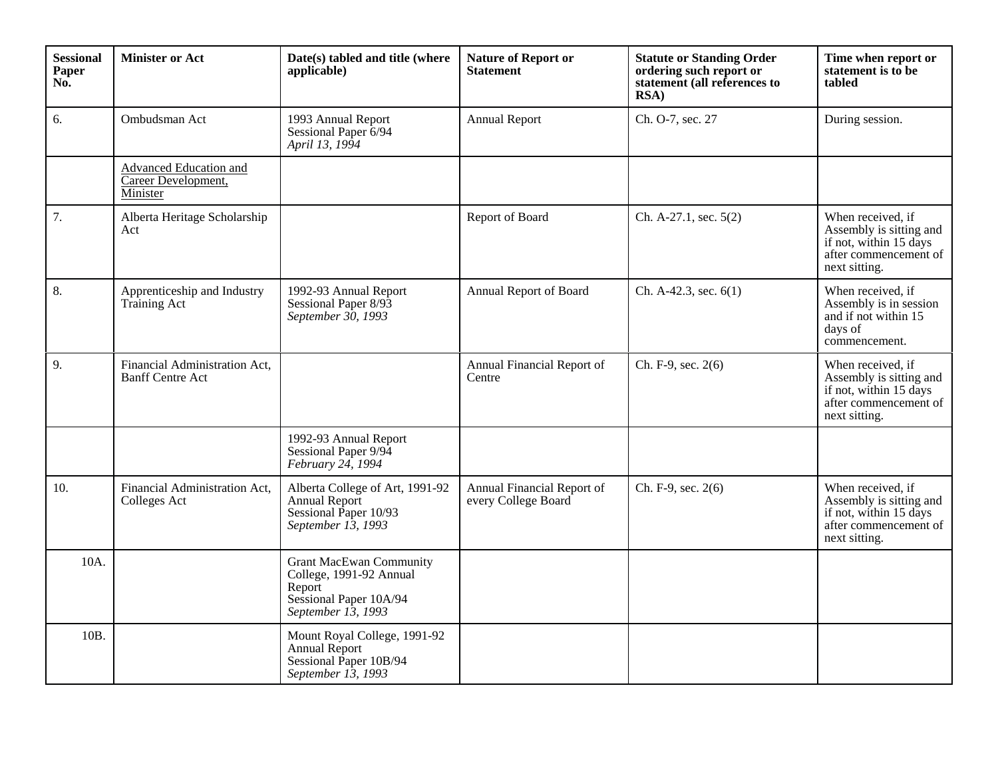| <b>Sessional</b><br>Paper<br>No. | <b>Minister or Act</b>                                    | Date(s) tabled and title (where<br>applicable)                                                                      | <b>Nature of Report or</b><br><b>Statement</b>    | <b>Statute or Standing Order</b><br>ordering such report or<br>statement (all references to<br>RSA) | Time when report or<br>statement is to be<br>tabled                                                              |
|----------------------------------|-----------------------------------------------------------|---------------------------------------------------------------------------------------------------------------------|---------------------------------------------------|-----------------------------------------------------------------------------------------------------|------------------------------------------------------------------------------------------------------------------|
| 6.                               | Ombudsman Act                                             | 1993 Annual Report<br>Sessional Paper 6/94<br>April 13, 1994                                                        | <b>Annual Report</b>                              | Ch. O-7, sec. 27                                                                                    | During session.                                                                                                  |
|                                  | Advanced Education and<br>Career Development,<br>Minister |                                                                                                                     |                                                   |                                                                                                     |                                                                                                                  |
| 7.                               | Alberta Heritage Scholarship<br>Act                       |                                                                                                                     | Report of Board                                   | Ch. A-27.1, sec. $5(2)$                                                                             | When received, if<br>Assembly is sitting and<br>if not, within 15 days<br>after commencement of<br>next sitting. |
| 8.                               | Apprenticeship and Industry<br>Training Act               | 1992-93 Annual Report<br>Sessional Paper 8/93<br>September 30, 1993                                                 | Annual Report of Board                            | Ch. A-42.3, sec. 6(1)                                                                               | When received, if<br>Assembly is in session<br>and if not within 15<br>days of<br>commencement.                  |
| 9.                               | Financial Administration Act,<br><b>Banff Centre Act</b>  |                                                                                                                     | Annual Financial Report of<br>Centre              | Ch. F-9, sec. 2(6)                                                                                  | When received, if<br>Assembly is sitting and<br>if not, within 15 days<br>after commencement of<br>next sitting. |
|                                  |                                                           | 1992-93 Annual Report<br>Sessional Paper 9/94<br>February 24, 1994                                                  |                                                   |                                                                                                     |                                                                                                                  |
| 10.                              | Financial Administration Act,<br><b>Colleges Act</b>      | Alberta College of Art, 1991-92<br>Annual Report<br>Sessional Paper 10/93<br>September 13, 1993                     | Annual Financial Report of<br>every College Board | Ch. F-9, sec. 2(6)                                                                                  | When received, if<br>Assembly is sitting and<br>if not, within 15 days<br>after commencement of<br>next sitting. |
| 10A.                             |                                                           | <b>Grant MacEwan Community</b><br>College, 1991-92 Annual<br>Report<br>Sessional Paper 10A/94<br>September 13, 1993 |                                                   |                                                                                                     |                                                                                                                  |
| 10 <sub>B</sub> .                |                                                           | Mount Royal College, 1991-92<br>Annual Report<br>Sessional Paper 10B/94<br>September 13, 1993                       |                                                   |                                                                                                     |                                                                                                                  |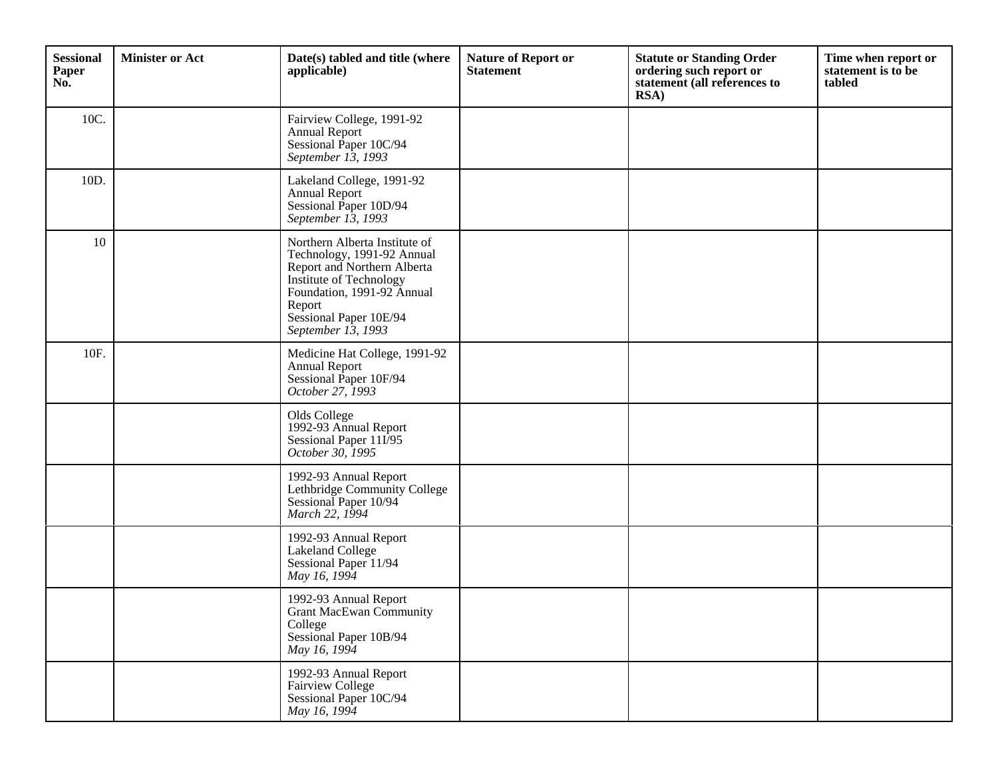| <b>Sessional</b><br>Paper<br>No. | <b>Minister or Act</b> | Date(s) tabled and title (where<br>applicable)                                                                                                                                                                | <b>Nature of Report or</b><br><b>Statement</b> | <b>Statute or Standing Order</b><br>ordering such report or<br>statement (all references to<br>RSA) | Time when report or<br>statement is to be<br>tabled |
|----------------------------------|------------------------|---------------------------------------------------------------------------------------------------------------------------------------------------------------------------------------------------------------|------------------------------------------------|-----------------------------------------------------------------------------------------------------|-----------------------------------------------------|
| 10C.                             |                        | Fairview College, 1991-92<br>Annual Report<br>Sessional Paper 10C/94<br>September 13, 1993                                                                                                                    |                                                |                                                                                                     |                                                     |
| 10D.                             |                        | Lakeland College, 1991-92<br><b>Annual Report</b><br>Sessional Paper 10D/94<br>September 13, 1993                                                                                                             |                                                |                                                                                                     |                                                     |
| 10                               |                        | Northern Alberta Institute of<br>Technology, 1991-92 Annual<br>Report and Northern Alberta<br>Institute of Technology<br>Foundation, 1991-92 Annual<br>Report<br>Sessional Paper 10E/94<br>September 13, 1993 |                                                |                                                                                                     |                                                     |
| 10F.                             |                        | Medicine Hat College, 1991-92<br><b>Annual Report</b><br>Sessional Paper 10F/94<br>October 27, 1993                                                                                                           |                                                |                                                                                                     |                                                     |
|                                  |                        | Olds College<br>1992-93 Annual Report<br>Sessional Paper 11I/95<br>October 30, 1995                                                                                                                           |                                                |                                                                                                     |                                                     |
|                                  |                        | 1992-93 Annual Report<br>Lethbridge Community College<br>Sessional Paper 10/94<br>March 22, 1994                                                                                                              |                                                |                                                                                                     |                                                     |
|                                  |                        | 1992-93 Annual Report<br><b>Lakeland College</b><br>Sessional Paper 11/94<br>May 16, 1994                                                                                                                     |                                                |                                                                                                     |                                                     |
|                                  |                        | 1992-93 Annual Report<br><b>Grant MacEwan Community</b><br>College<br>Sessional Paper 10B/94<br>May 16, 1994                                                                                                  |                                                |                                                                                                     |                                                     |
|                                  |                        | 1992-93 Annual Report<br><b>Fairview College</b><br>Sessional Paper 10C/94<br>May 16, 1994                                                                                                                    |                                                |                                                                                                     |                                                     |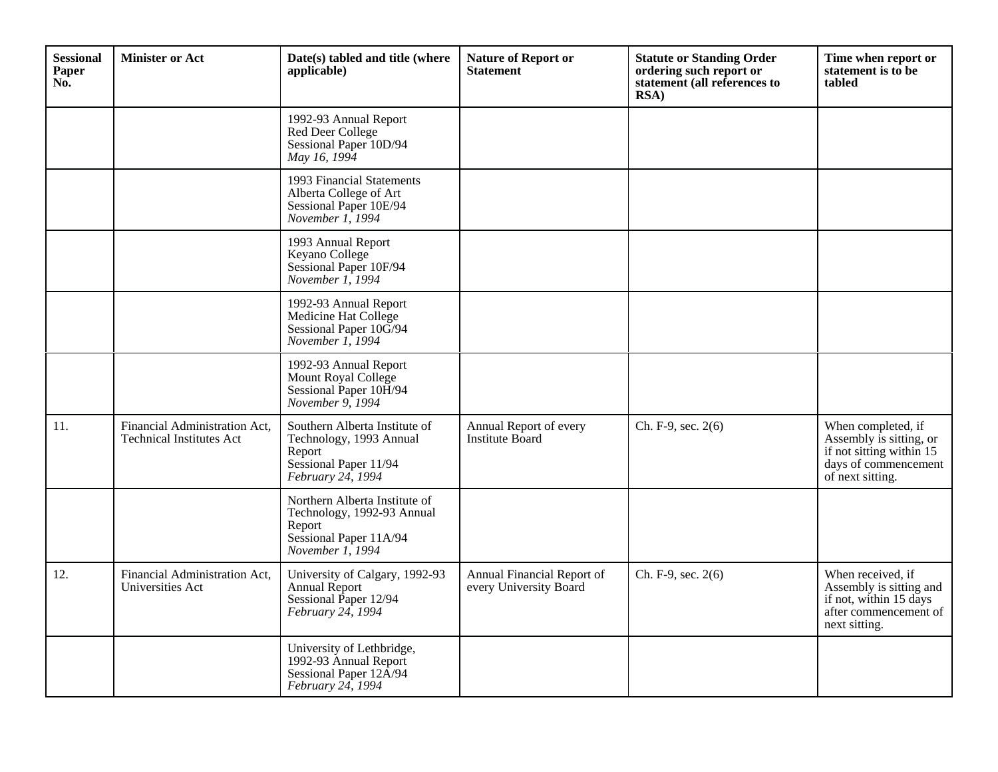| <b>Sessional</b><br>Paper<br>No. | <b>Minister or Act</b>                                           | Date(s) tabled and title (where<br>applicable)                                                                       | <b>Nature of Report or</b><br><b>Statement</b>       | <b>Statute or Standing Order</b><br>ordering such report or<br>statement (all references to<br>RSA) | Time when report or<br>statement is to be<br>tabled                                                                   |
|----------------------------------|------------------------------------------------------------------|----------------------------------------------------------------------------------------------------------------------|------------------------------------------------------|-----------------------------------------------------------------------------------------------------|-----------------------------------------------------------------------------------------------------------------------|
|                                  |                                                                  | 1992-93 Annual Report<br>Red Deer College<br>Sessional Paper 10D/94<br>May 16, 1994                                  |                                                      |                                                                                                     |                                                                                                                       |
|                                  |                                                                  | 1993 Financial Statements<br>Alberta College of Art<br>Sessional Paper 10E/94<br>November 1, 1994                    |                                                      |                                                                                                     |                                                                                                                       |
|                                  |                                                                  | 1993 Annual Report<br>Keyano College<br>Sessional Paper 10F/94<br>November $1,1994$                                  |                                                      |                                                                                                     |                                                                                                                       |
|                                  |                                                                  | 1992-93 Annual Report<br>Medicine Hat College<br>Sessional Paper 10G/94<br>November $1,1994$                         |                                                      |                                                                                                     |                                                                                                                       |
|                                  |                                                                  | 1992-93 Annual Report<br>Mount Royal College<br>Sessional Paper 10H/94<br>November 9, 1994                           |                                                      |                                                                                                     |                                                                                                                       |
| 11.                              | Financial Administration Act,<br><b>Technical Institutes Act</b> | Southern Alberta Institute of<br>Technology, 1993 Annual<br>Report<br>Sessional Paper 11/94<br>February 24, 1994     | Annual Report of every<br><b>Institute Board</b>     | Ch. F-9, sec. 2(6)                                                                                  | When completed, if<br>Assembly is sitting, or<br>if not sitting within 15<br>days of commencement<br>of next sitting. |
|                                  |                                                                  | Northern Alberta Institute of<br>Technology, 1992-93 Annual<br>Report<br>Sessional Paper 11A/94<br>November $1,1994$ |                                                      |                                                                                                     |                                                                                                                       |
| 12.                              | Financial Administration Act,<br>Universities Act                | University of Calgary, 1992-93<br>Annual Report<br>Sessional Paper 12/94<br>February 24, 1994                        | Annual Financial Report of<br>every University Board | Ch. F-9, sec. 2(6)                                                                                  | When received, if<br>Assembly is sitting and<br>if not, within 15 days<br>after commencement of<br>next sitting.      |
|                                  |                                                                  | University of Lethbridge,<br>1992-93 Annual Report<br>Sessional Paper 12A/94<br>February 24, 1994                    |                                                      |                                                                                                     |                                                                                                                       |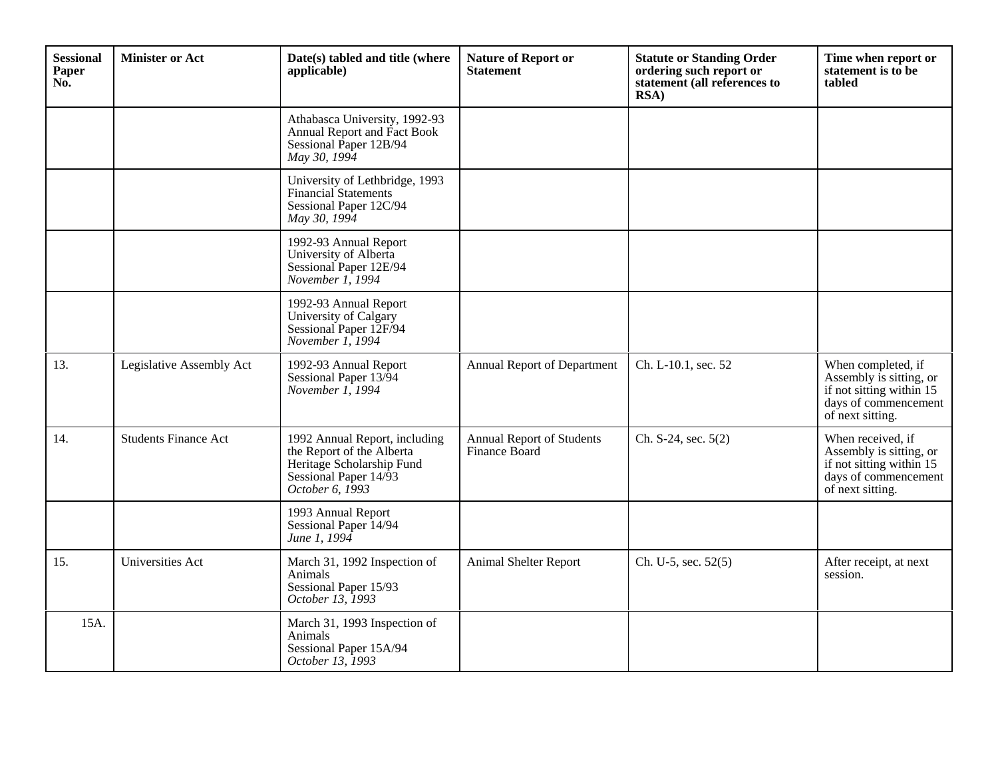| <b>Sessional</b><br>Paper<br>No. | <b>Minister or Act</b>      | Date(s) tabled and title (where<br>applicable)                                                                                      | <b>Nature of Report or</b><br><b>Statement</b> | <b>Statute or Standing Order</b><br>ordering such report or<br>statement (all references to<br>RSA) | Time when report or<br>statement is to be<br>tabled                                                                   |
|----------------------------------|-----------------------------|-------------------------------------------------------------------------------------------------------------------------------------|------------------------------------------------|-----------------------------------------------------------------------------------------------------|-----------------------------------------------------------------------------------------------------------------------|
|                                  |                             | Athabasca University, 1992-93<br>Annual Report and Fact Book<br>Sessional Paper 12B/94<br>May 30, 1994                              |                                                |                                                                                                     |                                                                                                                       |
|                                  |                             | University of Lethbridge, 1993<br><b>Financial Statements</b><br>Sessional Paper 12C/94<br>May 30, 1994                             |                                                |                                                                                                     |                                                                                                                       |
|                                  |                             | 1992-93 Annual Report<br>University of Alberta<br>Sessional Paper 12E/94<br>November $1,1994$                                       |                                                |                                                                                                     |                                                                                                                       |
|                                  |                             | 1992-93 Annual Report<br>University of Calgary<br>Sessional Paper 12F/94<br>November $1,1994$                                       |                                                |                                                                                                     |                                                                                                                       |
| 13.                              | Legislative Assembly Act    | 1992-93 Annual Report<br>Sessional Paper 13/94<br>November $1,1994$                                                                 | <b>Annual Report of Department</b>             | Ch. L-10.1, sec. 52                                                                                 | When completed, if<br>Assembly is sitting, or<br>if not sitting within 15<br>days of commencement<br>of next sitting. |
| 14.                              | <b>Students Finance Act</b> | 1992 Annual Report, including<br>the Report of the Alberta<br>Heritage Scholarship Fund<br>Sessional Paper 14/93<br>October 6, 1993 | Annual Report of Students<br>Finance Board     | Ch. S-24, sec. 5(2)                                                                                 | When received, if<br>Assembly is sitting, or<br>if not sitting within 15<br>days of commencement<br>of next sitting.  |
|                                  |                             | 1993 Annual Report<br>Sessional Paper 14/94<br>June 1, 1994                                                                         |                                                |                                                                                                     |                                                                                                                       |
| 15.                              | Universities Act            | March 31, 1992 Inspection of<br>Animals<br>Sessional Paper 15/93<br>October 13, 1993                                                | Animal Shelter Report                          | Ch. U-5, sec. 52(5)                                                                                 | After receipt, at next<br>session.                                                                                    |
| 15A.                             |                             | March 31, 1993 Inspection of<br>Animals<br>Sessional Paper 15A/94<br>October 13, 1993                                               |                                                |                                                                                                     |                                                                                                                       |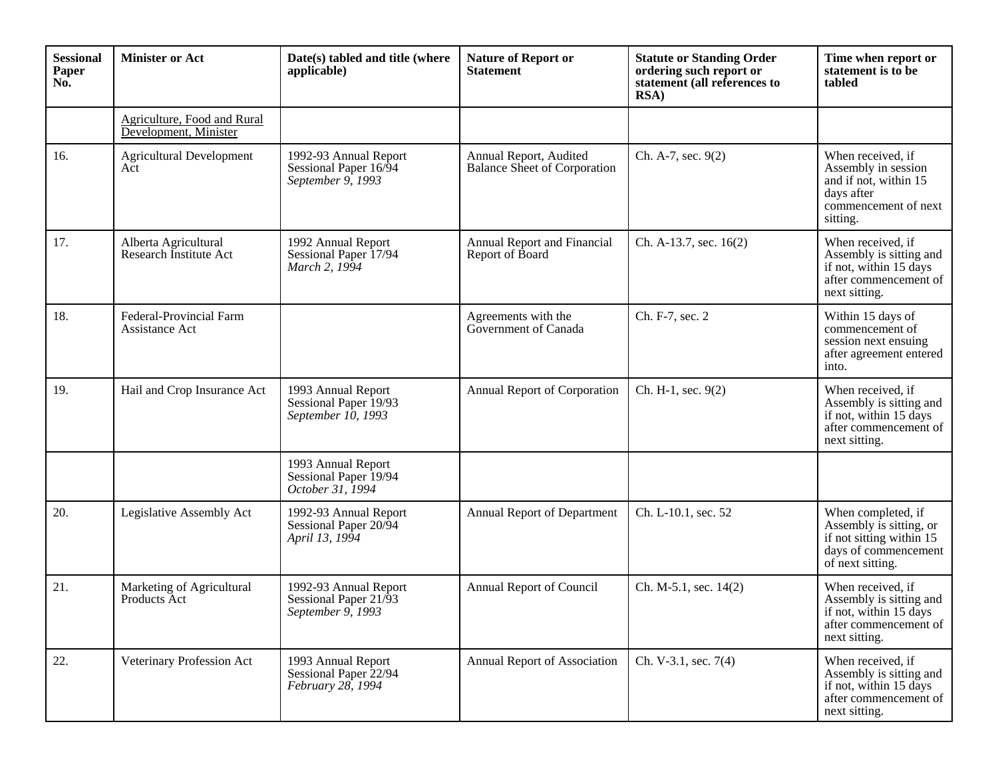| <b>Sessional</b><br>Paper<br>No. | <b>Minister or Act</b>                                | Date(s) tabled and title (where<br>applicable)                      | <b>Nature of Report or</b><br><b>Statement</b>                | <b>Statute or Standing Order</b><br>ordering such report or<br>statement (all references to<br>RSA) | Time when report or<br>statement is to be<br>tabled                                                                   |
|----------------------------------|-------------------------------------------------------|---------------------------------------------------------------------|---------------------------------------------------------------|-----------------------------------------------------------------------------------------------------|-----------------------------------------------------------------------------------------------------------------------|
|                                  | Agriculture, Food and Rural<br>Development, Minister  |                                                                     |                                                               |                                                                                                     |                                                                                                                       |
| 16.                              | <b>Agricultural Development</b><br>Act                | 1992-93 Annual Report<br>Sessional Paper 16/94<br>September 9, 1993 | Annual Report, Audited<br><b>Balance Sheet of Corporation</b> | Ch. A-7, sec. 9(2)                                                                                  | When received, if<br>Assembly in session<br>and if not, within 15<br>days after<br>commencement of next<br>sitting.   |
| 17.                              | Alberta Agricultural<br><b>Research Institute Act</b> | 1992 Annual Report<br>Sessional Paper 17/94<br>March 2, 1994        | Annual Report and Financial<br>Report of Board                | Ch. A-13.7, sec. 16(2)                                                                              | When received, if<br>Assembly is sitting and<br>if not, within 15 days<br>after commencement of<br>next sitting.      |
| 18.                              | <b>Federal-Provincial Farm</b><br>Assistance Act      |                                                                     | Agreements with the<br>Government of Canada                   | Ch. F-7, sec. 2                                                                                     | Within 15 days of<br>commencement of<br>session next ensuing<br>after agreement entered<br>into.                      |
| 19.                              | Hail and Crop Insurance Act                           | 1993 Annual Report<br>Sessional Paper 19/93<br>September $10, 1993$ | Annual Report of Corporation                                  | Ch. H-1, sec. 9(2)                                                                                  | When received, if<br>Assembly is sitting and<br>if not, within 15 days<br>after commencement of<br>next sitting.      |
|                                  |                                                       | 1993 Annual Report<br>Sessional Paper 19/94<br>October 31, 1994     |                                                               |                                                                                                     |                                                                                                                       |
| 20.                              | Legislative Assembly Act                              | 1992-93 Annual Report<br>Sessional Paper 20/94<br>April 13, 1994    | Annual Report of Department                                   | Ch. L-10.1, sec. 52                                                                                 | When completed, if<br>Assembly is sitting, or<br>if not sitting within 15<br>days of commencement<br>of next sitting. |
| 21.                              | Marketing of Agricultural<br>Products Act             | 1992-93 Annual Report<br>Sessional Paper 21/93<br>September 9, 1993 | Annual Report of Council                                      | Ch. M-5.1, sec. 14(2)                                                                               | When received, if<br>Assembly is sitting and<br>if not, within 15 days<br>after commencement of<br>next sitting.      |
| 22.                              | Veterinary Profession Act                             | 1993 Annual Report<br>Sessional Paper 22/94<br>February 28, 1994    | Annual Report of Association                                  | Ch. V-3.1, sec. 7(4)                                                                                | When received, if<br>Assembly is sitting and<br>if not, within 15 days<br>after commencement of<br>next sitting.      |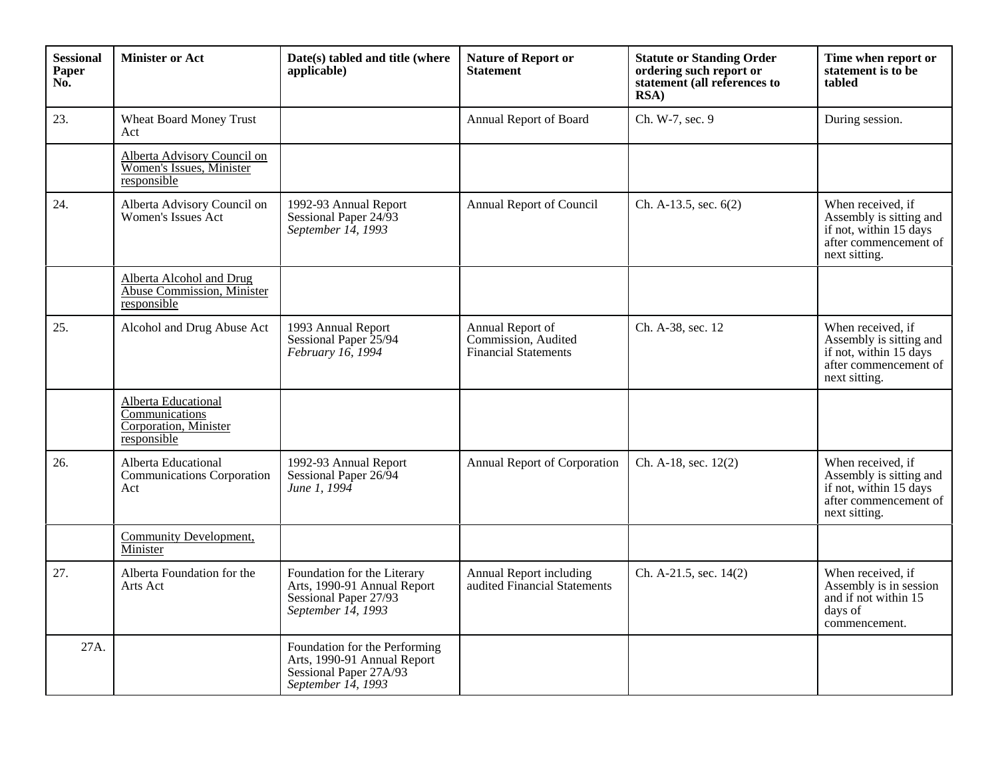| <b>Sessional</b><br>Paper<br>No. | <b>Minister or Act</b>                                                        | Date(s) tabled and title (where<br>applicable)                                                               | <b>Nature of Report or</b><br><b>Statement</b>                         | <b>Statute or Standing Order</b><br>ordering such report or<br>statement (all references to<br>RSA) | Time when report or<br>statement is to be<br>tabled                                                              |
|----------------------------------|-------------------------------------------------------------------------------|--------------------------------------------------------------------------------------------------------------|------------------------------------------------------------------------|-----------------------------------------------------------------------------------------------------|------------------------------------------------------------------------------------------------------------------|
| 23.                              | Wheat Board Money Trust<br>Act                                                |                                                                                                              | Annual Report of Board                                                 | Ch. W-7, sec. 9                                                                                     | During session.                                                                                                  |
|                                  | Alberta Advisory Council on<br>Women's Issues, Minister<br>responsible        |                                                                                                              |                                                                        |                                                                                                     |                                                                                                                  |
| 24.                              | Alberta Advisory Council on<br>Women's Issues Act                             | 1992-93 Annual Report<br>Sessional Paper 24/93<br>September 14, 1993                                         | Annual Report of Council                                               | Ch. A-13.5, sec. 6(2)                                                                               | When received, if<br>Assembly is sitting and<br>if not, within 15 days<br>after commencement of<br>next sitting. |
|                                  | Alberta Alcohol and Drug<br>Abuse Commission, Minister<br>responsible         |                                                                                                              |                                                                        |                                                                                                     |                                                                                                                  |
| 25.                              | Alcohol and Drug Abuse Act                                                    | 1993 Annual Report<br>Sessional Paper 25/94<br>February 16, 1994                                             | Annual Report of<br>Commission, Audited<br><b>Financial Statements</b> | Ch. A-38, sec. 12                                                                                   | When received, if<br>Assembly is sitting and<br>if not, within 15 days<br>after commencement of<br>next sitting. |
|                                  | Alberta Educational<br>Communications<br>Corporation, Minister<br>responsible |                                                                                                              |                                                                        |                                                                                                     |                                                                                                                  |
| 26.                              | Alberta Educational<br><b>Communications Corporation</b><br>Act               | 1992-93 Annual Report<br>Sessional Paper 26/94<br>June 1, 1994                                               | Annual Report of Corporation                                           | Ch. A-18, sec. 12(2)                                                                                | When received, if<br>Assembly is sitting and<br>if not, within 15 days<br>after commencement of<br>next sitting. |
|                                  | Community Development,<br>Minister                                            |                                                                                                              |                                                                        |                                                                                                     |                                                                                                                  |
| 27.                              | Alberta Foundation for the<br>Arts Act                                        | Foundation for the Literary<br>Arts, 1990-91 Annual Report<br>Sessional Paper 27/93<br>September $14, 1993$  | Annual Report including<br>audited Financial Statements                | Ch. A-21.5, sec. 14(2)                                                                              | When received, if<br>Assembly is in session<br>and if not within 15<br>days of<br>commencement.                  |
| 27A.                             |                                                                               | Foundation for the Performing<br>Arts, 1990-91 Annual Report<br>Sessional Paper 27A/93<br>September 14, 1993 |                                                                        |                                                                                                     |                                                                                                                  |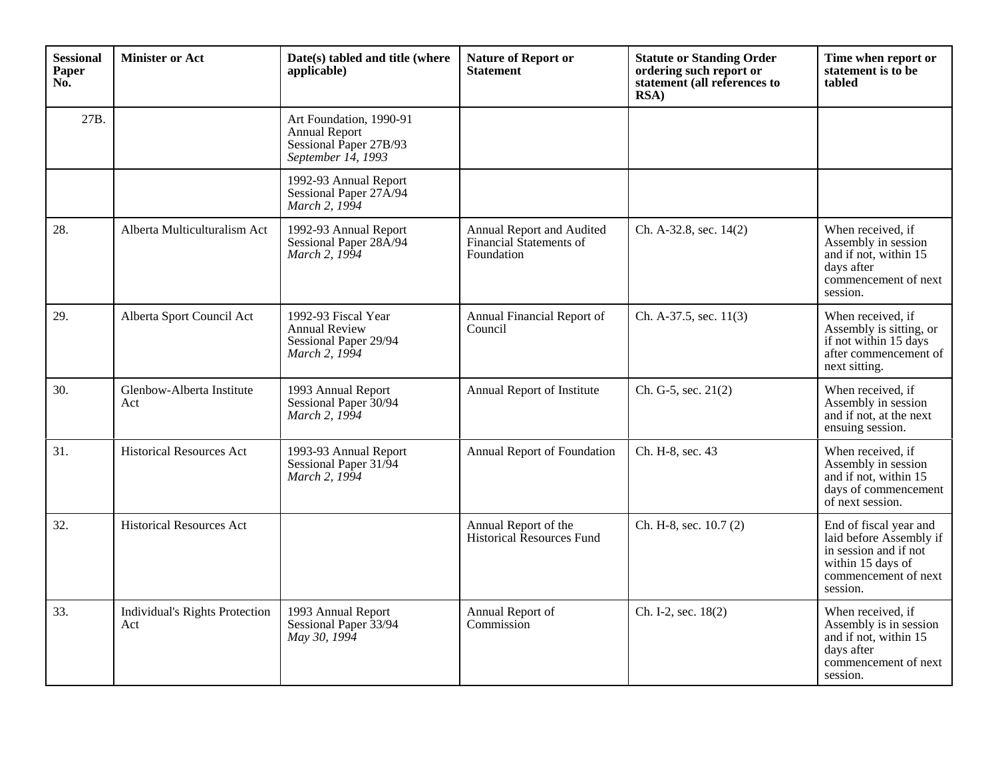| <b>Sessional</b><br>Paper<br>No. | <b>Minister or Act</b>                       | Date(s) tabled and title (where<br>applicable)                                                    | <b>Nature of Report or</b><br><b>Statement</b>                     | <b>Statute or Standing Order</b><br>ordering such report or<br>statement (all references to<br>RSA) | Time when report or<br>statement is to be<br>tabled                                                                                 |
|----------------------------------|----------------------------------------------|---------------------------------------------------------------------------------------------------|--------------------------------------------------------------------|-----------------------------------------------------------------------------------------------------|-------------------------------------------------------------------------------------------------------------------------------------|
| 27B.                             |                                              | Art Foundation, 1990-91<br><b>Annual Report</b><br>Sessional Paper 27B/93<br>September $14, 1993$ |                                                                    |                                                                                                     |                                                                                                                                     |
|                                  |                                              | 1992-93 Annual Report<br>Sessional Paper 27A/94<br>March 2, 1994                                  |                                                                    |                                                                                                     |                                                                                                                                     |
| 28.                              | Alberta Multiculturalism Act                 | 1992-93 Annual Report<br>Sessional Paper 28A/94<br>March 2, 1994                                  | Annual Report and Audited<br>Financial Statements of<br>Foundation | Ch. A-32.8, sec. 14(2)                                                                              | When received, if<br>Assembly in session<br>and if not, within 15<br>days after<br>commencement of next<br>session.                 |
| 29.                              | Alberta Sport Council Act                    | 1992-93 Fiscal Year<br><b>Annual Review</b><br>Sessional Paper 29/94<br>March 2, 1994             | Annual Financial Report of<br>Council                              | Ch. A-37.5, sec. 11(3)                                                                              | When received, if<br>Assembly is sitting, or<br>if not within 15 days<br>after commencement of<br>next sitting.                     |
| 30.                              | Glenbow-Alberta Institute<br>Act             | 1993 Annual Report<br>Sessional Paper 30/94<br>March 2, 1994                                      | Annual Report of Institute                                         | Ch. G-5, sec. $21(2)$                                                                               | When received, if<br>Assembly in session<br>and if not, at the next<br>ensuing session.                                             |
| 31.                              | <b>Historical Resources Act</b>              | 1993-93 Annual Report<br>Sessional Paper 31/94<br>March 2, 1994                                   | Annual Report of Foundation                                        | Ch. H-8, sec. 43                                                                                    | When received, if<br>Assembly in session<br>and if not, within 15<br>days of commencement<br>of next session.                       |
| 32.                              | <b>Historical Resources Act</b>              |                                                                                                   | Annual Report of the<br><b>Historical Resources Fund</b>           | Ch. H-8, sec. 10.7 (2)                                                                              | End of fiscal year and<br>laid before Assembly if<br>in session and if not<br>within 15 days of<br>commencement of next<br>session. |
| 33.                              | <b>Individual's Rights Protection</b><br>Act | 1993 Annual Report<br>Sessional Paper 33/94<br>May 30, 1994                                       | Annual Report of<br>Commission                                     | Ch. I-2, sec. 18(2)                                                                                 | When received, if<br>Assembly is in session<br>and if not, within 15<br>days after<br>commencement of next<br>session.              |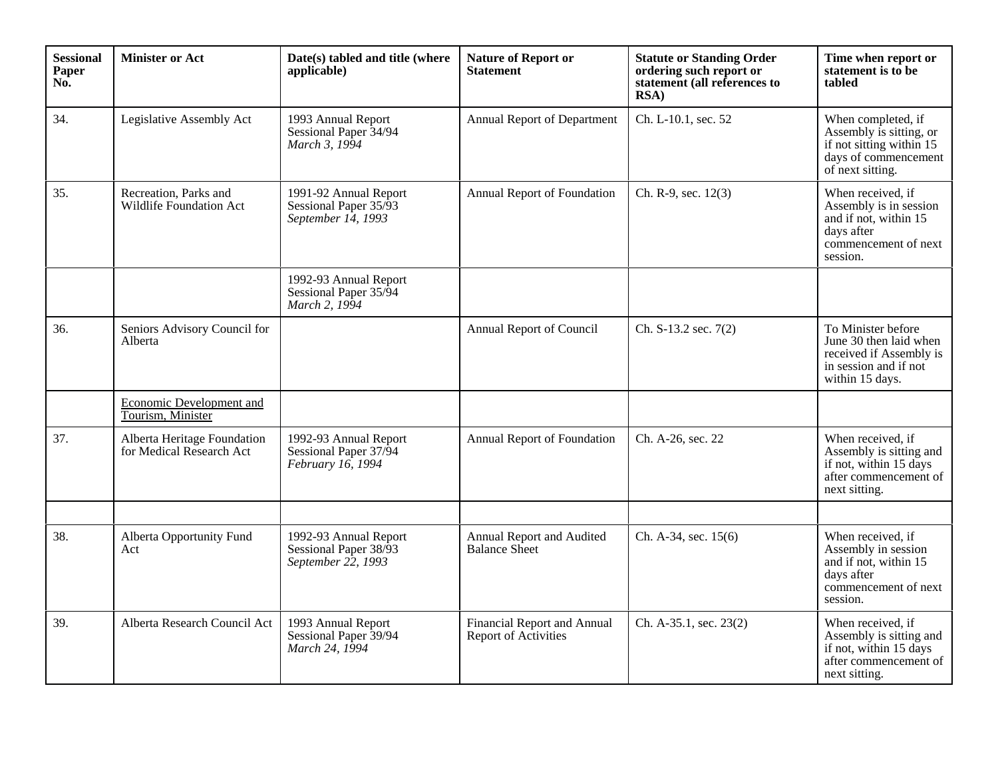| <b>Sessional</b><br>Paper<br>No. | <b>Minister or Act</b>                                  | Date(s) tabled and title (where<br>applicable)                       | <b>Nature of Report or</b><br><b>Statement</b>             | <b>Statute or Standing Order</b><br>ordering such report or<br>statement (all references to<br>RSA) | Time when report or<br>statement is to be<br>tabled                                                                    |
|----------------------------------|---------------------------------------------------------|----------------------------------------------------------------------|------------------------------------------------------------|-----------------------------------------------------------------------------------------------------|------------------------------------------------------------------------------------------------------------------------|
| 34.                              | Legislative Assembly Act                                | 1993 Annual Report<br>Sessional Paper 34/94<br>March 3, 1994         | Annual Report of Department                                | Ch. L-10.1, sec. 52                                                                                 | When completed, if<br>Assembly is sitting, or<br>if not sitting within 15<br>days of commencement<br>of next sitting.  |
| 35.                              | Recreation, Parks and<br><b>Wildlife Foundation Act</b> | 1991-92 Annual Report<br>Sessional Paper 35/93<br>September 14, 1993 | Annual Report of Foundation                                | Ch. R-9, sec. 12(3)                                                                                 | When received, if<br>Assembly is in session<br>and if not, within 15<br>days after<br>commencement of next<br>session. |
|                                  |                                                         | 1992-93 Annual Report<br>Sessional Paper 35/94<br>March 2, 1994      |                                                            |                                                                                                     |                                                                                                                        |
| 36.                              | Seniors Advisory Council for<br>Alberta                 |                                                                      | Annual Report of Council                                   | Ch. S-13.2 sec. 7(2)                                                                                | To Minister before<br>June 30 then laid when<br>received if Assembly is<br>in session and if not<br>within 15 days.    |
|                                  | <b>Economic Development and</b><br>Tourism, Minister    |                                                                      |                                                            |                                                                                                     |                                                                                                                        |
| 37.                              | Alberta Heritage Foundation<br>for Medical Research Act | 1992-93 Annual Report<br>Sessional Paper 37/94<br>February 16, 1994  | Annual Report of Foundation                                | Ch. A-26, sec. 22                                                                                   | When received, if<br>Assembly is sitting and<br>if not, within 15 days<br>after commencement of<br>next sitting.       |
|                                  |                                                         |                                                                      |                                                            |                                                                                                     |                                                                                                                        |
| 38.                              | Alberta Opportunity Fund<br>Act                         | 1992-93 Annual Report<br>Sessional Paper 38/93<br>September 22, 1993 | Annual Report and Audited<br><b>Balance Sheet</b>          | Ch. A-34, sec. 15(6)                                                                                | When received, if<br>Assembly in session<br>and if not, within 15<br>days after<br>commencement of next<br>session.    |
| 39.                              | Alberta Research Council Act                            | 1993 Annual Report<br>Sessional Paper 39/94<br>March 24, 1994        | Financial Report and Annual<br><b>Report of Activities</b> | Ch. A-35.1, sec. 23(2)                                                                              | When received, if<br>Assembly is sitting and<br>if not, within 15 days<br>after commencement of<br>next sitting.       |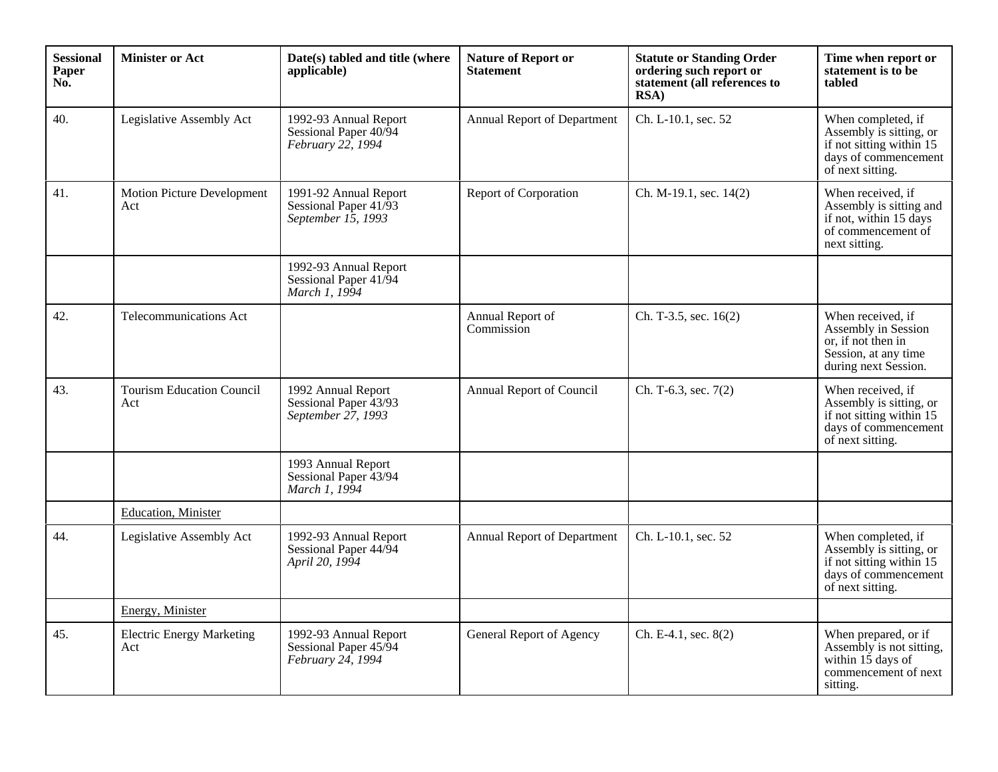| <b>Sessional</b><br>Paper<br>No. | <b>Minister or Act</b>                  | Date(s) tabled and title (where<br>applicable)                       | <b>Nature of Report or</b><br><b>Statement</b> | <b>Statute or Standing Order</b><br>ordering such report or<br>statement (all references to<br>RSA) | Time when report or<br>statement is to be<br>tabled                                                                     |
|----------------------------------|-----------------------------------------|----------------------------------------------------------------------|------------------------------------------------|-----------------------------------------------------------------------------------------------------|-------------------------------------------------------------------------------------------------------------------------|
| 40.                              | Legislative Assembly Act                | 1992-93 Annual Report<br>Sessional Paper 40/94<br>February 22, 1994  | Annual Report of Department                    | Ch. L-10.1, sec. 52                                                                                 | When completed, if<br>Assembly is sitting, or<br>if not sitting within 15<br>days of commencement<br>of next sitting.   |
| 41.                              | Motion Picture Development<br>Act       | 1991-92 Annual Report<br>Sessional Paper 41/93<br>September 15, 1993 | Report of Corporation                          | Ch. M-19.1, sec. 14(2)                                                                              | When received, if<br>Assembly is sitting and<br>if not, within 15 days<br>of commencement of<br>next sitting.           |
|                                  |                                         | 1992-93 Annual Report<br>Sessional Paper 41/94<br>March 1, 1994      |                                                |                                                                                                     |                                                                                                                         |
| 42.                              | <b>Telecommunications Act</b>           |                                                                      | Annual Report of<br>Commission                 | Ch. T-3.5, sec. 16(2)                                                                               | When received, if<br>Assembly in Session<br>or, if not then in<br>Session, at any time<br>during next Session.          |
| 43.                              | <b>Tourism Education Council</b><br>Act | 1992 Annual Report<br>Sessional Paper 43/93<br>September 27, 1993    | Annual Report of Council                       | Ch. T-6.3, sec. 7(2)                                                                                | When received, if<br>Assembly is sitting, or<br>if not sitting within 15<br>days of commencement<br>of next sitting.    |
|                                  |                                         | 1993 Annual Report<br>Sessional Paper 43/94<br>March 1, 1994         |                                                |                                                                                                     |                                                                                                                         |
|                                  | <b>Education</b> , Minister             |                                                                      |                                                |                                                                                                     |                                                                                                                         |
| 44.                              | Legislative Assembly Act                | 1992-93 Annual Report<br>Sessional Paper 44/94<br>April 20, 1994     | Annual Report of Department                    | Ch. L-10.1, sec. 52                                                                                 | When completed, if<br>Assembly is sitting, or<br>if not sitting within $15$<br>days of commencement<br>of next sitting. |
|                                  | Energy, Minister                        |                                                                      |                                                |                                                                                                     |                                                                                                                         |
| 45.                              | <b>Electric Energy Marketing</b><br>Act | 1992-93 Annual Report<br>Sessional Paper 45/94<br>February 24, 1994  | General Report of Agency                       | Ch. E-4.1, sec. 8(2)                                                                                | When prepared, or if<br>Assembly is not sitting,<br>within $15$ days of<br>commencement of next<br>sitting.             |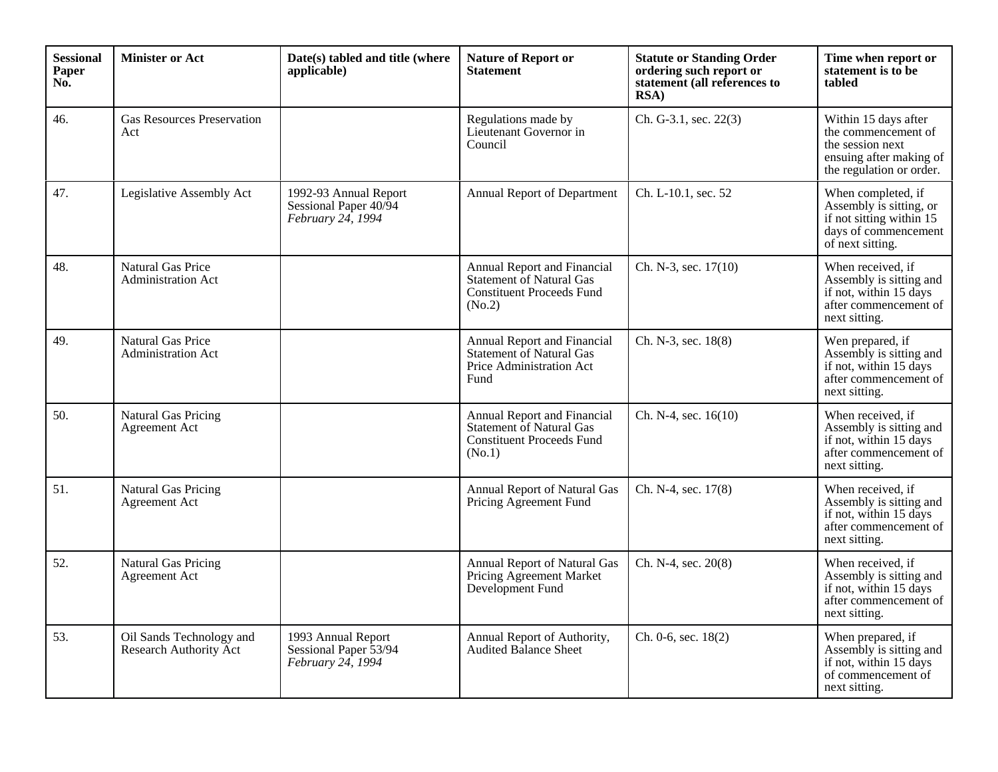| <b>Sessional</b><br>Paper<br>No. | <b>Minister or Act</b>                                | Date(s) tabled and title (where<br>applicable)                      | <b>Nature of Report or</b><br><b>Statement</b>                                                               | <b>Statute or Standing Order</b><br>ordering such report or<br>statement (all references to<br>RSA) | Time when report or<br>statement is to be<br>tabled                                                                    |
|----------------------------------|-------------------------------------------------------|---------------------------------------------------------------------|--------------------------------------------------------------------------------------------------------------|-----------------------------------------------------------------------------------------------------|------------------------------------------------------------------------------------------------------------------------|
| 46.                              | <b>Gas Resources Preservation</b><br>Act              |                                                                     | Regulations made by<br>Lieutenant Governor in<br>Council                                                     | Ch. G-3.1, sec. 22(3)                                                                               | Within 15 days after<br>the commencement of<br>the session next<br>ensuing after making of<br>the regulation or order. |
| 47.                              | Legislative Assembly Act                              | 1992-93 Annual Report<br>Sessional Paper 40/94<br>February 24, 1994 | Annual Report of Department                                                                                  | Ch. L-10.1, sec. 52                                                                                 | When completed, if<br>Assembly is sitting, or<br>if not sitting within 15<br>days of commencement<br>of next sitting.  |
| 48.                              | <b>Natural Gas Price</b><br><b>Administration Act</b> |                                                                     | Annual Report and Financial<br>Statement of Natural Gas<br><b>Constituent Proceeds Fund</b><br>(No.2)        | Ch. N-3, sec. 17(10)                                                                                | When received, if<br>Assembly is sitting and<br>if not, within 15 days<br>after commencement of<br>next sitting.       |
| 49.                              | <b>Natural Gas Price</b><br><b>Administration Act</b> |                                                                     | Annual Report and Financial<br><b>Statement of Natural Gas</b><br>Price Administration Act<br>Fund           | Ch. N-3, sec. 18(8)                                                                                 | Wen prepared, if<br>Assembly is sitting and<br>if not, within 15 days<br>after commencement of<br>next sitting.        |
| 50.                              | <b>Natural Gas Pricing</b><br>Agreement Act           |                                                                     | Annual Report and Financial<br><b>Statement of Natural Gas</b><br><b>Constituent Proceeds Fund</b><br>(No.1) | Ch. N-4, sec. $16(10)$                                                                              | When received, if<br>Assembly is sitting and<br>if not, within 15 days<br>after commencement of<br>next sitting.       |
| 51.                              | <b>Natural Gas Pricing</b><br>Agreement Act           |                                                                     | Annual Report of Natural Gas<br>Pricing Agreement Fund                                                       | Ch. N-4, sec. 17(8)                                                                                 | When received, if<br>Assembly is sitting and<br>if not, within 15 days<br>after commencement of<br>next sitting.       |
| 52.                              | <b>Natural Gas Pricing</b><br>Agreement Act           |                                                                     | <b>Annual Report of Natural Gas</b><br>Pricing Agreement Market<br>Development Fund                          | Ch. N-4, sec. 20(8)                                                                                 | When received, if<br>Assembly is sitting and<br>if not, within 15 days<br>after commencement of<br>next sitting.       |
| 53.                              | Oil Sands Technology and<br>Research Authority Act    | 1993 Annual Report<br>Sessional Paper 53/94<br>February 24, 1994    | Annual Report of Authority,<br><b>Audited Balance Sheet</b>                                                  | Ch. 0-6, sec. 18(2)                                                                                 | When prepared, if<br>Assembly is sitting and<br>if not, within 15 days<br>of commencement of<br>next sitting.          |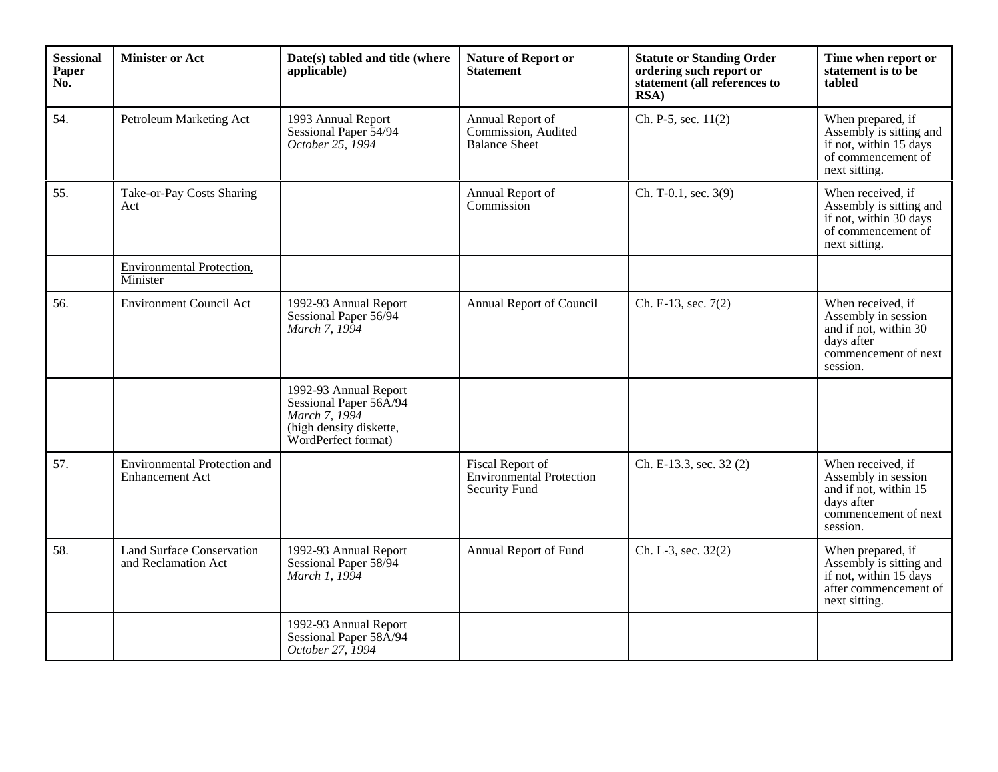| <b>Sessional</b><br>Paper<br>No. | <b>Minister or Act</b>                                  | Date(s) tabled and title (where<br>applicable)                                                                     | <b>Nature of Report or</b><br><b>Statement</b>                              | <b>Statute or Standing Order</b><br>ordering such report or<br>statement (all references to<br>RSA) | Time when report or<br>statement is to be<br>tabled                                                                 |
|----------------------------------|---------------------------------------------------------|--------------------------------------------------------------------------------------------------------------------|-----------------------------------------------------------------------------|-----------------------------------------------------------------------------------------------------|---------------------------------------------------------------------------------------------------------------------|
| 54.                              | Petroleum Marketing Act                                 | 1993 Annual Report<br>Sessional Paper 54/94<br>October 25, 1994                                                    | Annual Report of<br>Commission, Audited<br><b>Balance Sheet</b>             | Ch. P-5, sec. 11(2)                                                                                 | When prepared, if<br>Assembly is sitting and<br>if not, within 15 days<br>of commencement of<br>next sitting.       |
| 55.                              | Take-or-Pay Costs Sharing<br>Act                        |                                                                                                                    | Annual Report of<br>Commission                                              | Ch. T-0.1, sec. 3(9)                                                                                | When received, if<br>Assembly is sitting and<br>if not, within 30 days<br>of commencement of<br>next sitting.       |
|                                  | Environmental Protection,<br>Minister                   |                                                                                                                    |                                                                             |                                                                                                     |                                                                                                                     |
| 56.                              | <b>Environment Council Act</b>                          | 1992-93 Annual Report<br>Sessional Paper 56/94<br>March 7, 1994                                                    | Annual Report of Council                                                    | Ch. E-13, sec. 7(2)                                                                                 | When received, if<br>Assembly in session<br>and if not, within 30<br>days after<br>commencement of next<br>session. |
|                                  |                                                         | 1992-93 Annual Report<br>Sessional Paper 56A/94<br>March 7, 1994<br>(high density diskette,<br>WordPerfect format) |                                                                             |                                                                                                     |                                                                                                                     |
| 57.                              | Environmental Protection and<br><b>Enhancement Act</b>  |                                                                                                                    | Fiscal Report of<br><b>Environmental Protection</b><br><b>Security Fund</b> | Ch. E-13.3, sec. 32 (2)                                                                             | When received, if<br>Assembly in session<br>and if not, within 15<br>days after<br>commencement of next<br>session. |
| 58.                              | <b>Land Surface Conservation</b><br>and Reclamation Act | 1992-93 Annual Report<br>Sessional Paper 58/94<br>March 1, 1994                                                    | Annual Report of Fund                                                       | Ch. L-3, sec. 32(2)                                                                                 | When prepared, if<br>Assembly is sitting and<br>if not, within 15 days<br>after commencement of<br>next sitting.    |
|                                  |                                                         | 1992-93 Annual Report<br>Sessional Paper 58A/94<br>October 27, 1994                                                |                                                                             |                                                                                                     |                                                                                                                     |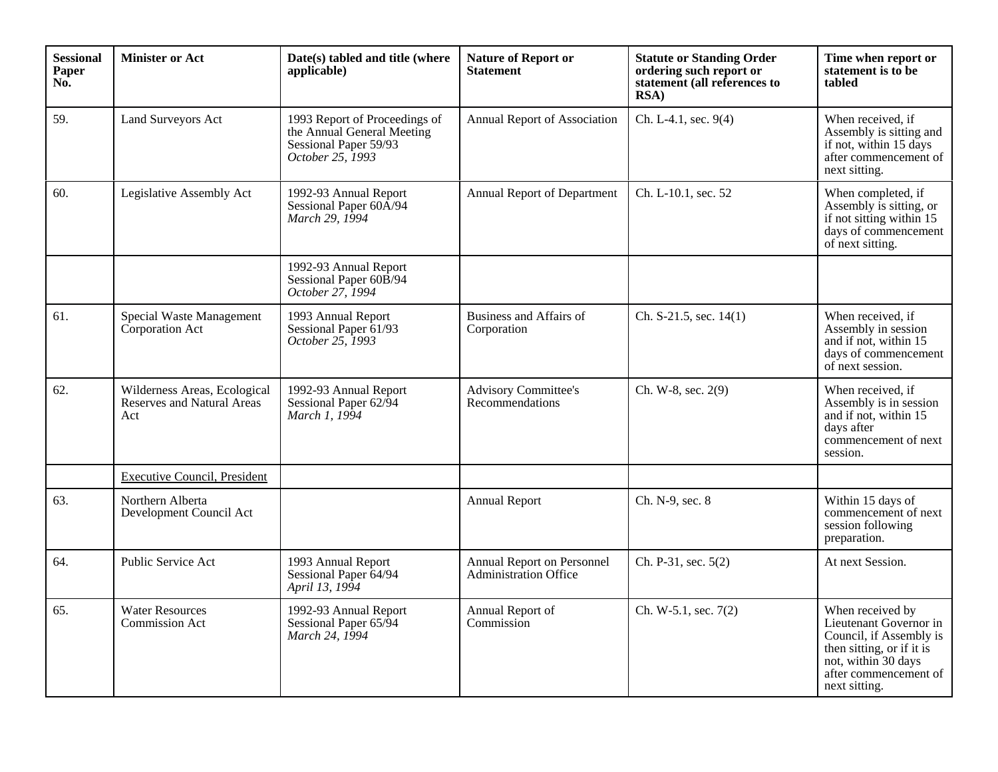| <b>Sessional</b><br>Paper<br>No. | <b>Minister or Act</b>                                                   | Date(s) tabled and title (where<br>applicable)                                                           | <b>Nature of Report or</b><br><b>Statement</b>             | <b>Statute or Standing Order</b><br>ordering such report or<br>statement (all references to<br>RSA) | Time when report or<br>statement is to be<br>tabled                                                                                                                 |
|----------------------------------|--------------------------------------------------------------------------|----------------------------------------------------------------------------------------------------------|------------------------------------------------------------|-----------------------------------------------------------------------------------------------------|---------------------------------------------------------------------------------------------------------------------------------------------------------------------|
| 59.                              | Land Surveyors Act                                                       | 1993 Report of Proceedings of<br>the Annual General Meeting<br>Sessional Paper 59/93<br>October 25, 1993 | Annual Report of Association                               | Ch. L-4.1, sec. 9(4)                                                                                | When received, if<br>Assembly is sitting and<br>if not, within 15 days<br>after commencement of<br>next sitting.                                                    |
| 60.                              | Legislative Assembly Act                                                 | 1992-93 Annual Report<br>Sessional Paper 60A/94<br>March 29, 1994                                        | Annual Report of Department                                | Ch. L-10.1, sec. 52                                                                                 | When completed, if<br>Assembly is sitting, or<br>if not sitting within 15<br>days of commencement<br>of next sitting.                                               |
|                                  |                                                                          | 1992-93 Annual Report<br>Sessional Paper 60B/94<br>October 27, 1994                                      |                                                            |                                                                                                     |                                                                                                                                                                     |
| 61.                              | Special Waste Management<br>Corporation Act                              | 1993 Annual Report<br>Sessional Paper 61/93<br>October 25, 1993                                          | Business and Affairs of<br>Corporation                     | Ch. S-21.5, sec. 14(1)                                                                              | When received, if<br>Assembly in session<br>and if not, within 15<br>days of commencement<br>of next session.                                                       |
| 62.                              | Wilderness Areas, Ecological<br><b>Reserves and Natural Areas</b><br>Act | 1992-93 Annual Report<br>Sessional Paper 62/94<br>March 1, 1994                                          | <b>Advisory Committee's</b><br>Recommendations             | Ch. W-8, sec. 2(9)                                                                                  | When received, if<br>Assembly is in session<br>and if not, within 15<br>days after<br>commencement of next<br>session.                                              |
|                                  | <b>Executive Council, President</b>                                      |                                                                                                          |                                                            |                                                                                                     |                                                                                                                                                                     |
| 63.                              | Northern Alberta<br>Development Council Act                              |                                                                                                          | <b>Annual Report</b>                                       | Ch. N-9, sec. 8                                                                                     | Within 15 days of<br>commencement of next<br>session following<br>preparation.                                                                                      |
| 64.                              | Public Service Act                                                       | 1993 Annual Report<br>Sessional Paper 64/94<br>April 13, 1994                                            | Annual Report on Personnel<br><b>Administration Office</b> | Ch. P-31, sec. 5(2)                                                                                 | At next Session.                                                                                                                                                    |
| 65.                              | <b>Water Resources</b><br><b>Commission Act</b>                          | 1992-93 Annual Report<br>Sessional Paper 65/94<br>March 24, 1994                                         | Annual Report of<br>Commission                             | Ch. W-5.1, sec. 7(2)                                                                                | When received by<br>Lieutenant Governor in<br>Council, if Assembly is<br>then sitting, or if it is<br>not, within 30 days<br>after commencement of<br>next sitting. |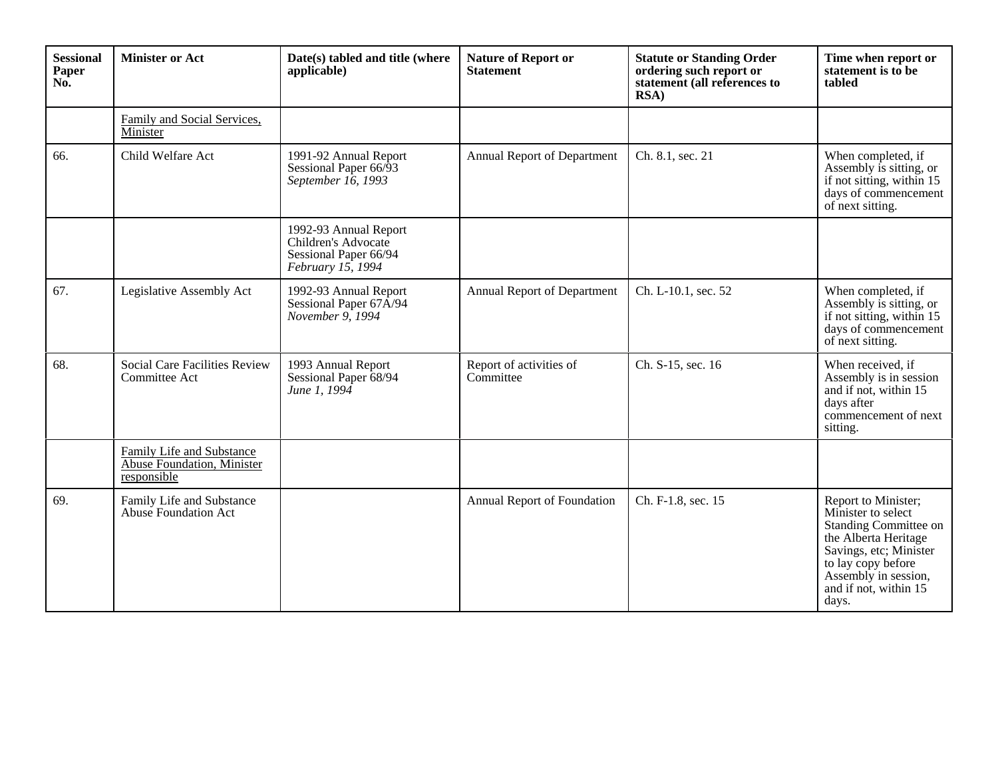| <b>Sessional</b><br>Paper<br>No. | <b>Minister or Act</b>                                                         | Date(s) tabled and title (where<br>applicable)                                             | <b>Nature of Report or</b><br><b>Statement</b> | <b>Statute or Standing Order</b><br>ordering such report or<br>statement (all references to<br>RSA) | Time when report or<br>statement is to be<br>tabled                                                                                                                                                  |
|----------------------------------|--------------------------------------------------------------------------------|--------------------------------------------------------------------------------------------|------------------------------------------------|-----------------------------------------------------------------------------------------------------|------------------------------------------------------------------------------------------------------------------------------------------------------------------------------------------------------|
|                                  | Family and Social Services,<br>Minister                                        |                                                                                            |                                                |                                                                                                     |                                                                                                                                                                                                      |
| 66.                              | Child Welfare Act                                                              | 1991-92 Annual Report<br>Sessional Paper 66/93<br>September 16, 1993                       | <b>Annual Report of Department</b>             | Ch. 8.1, sec. 21                                                                                    | When completed, if<br>Assembly is sitting, or<br>if not sitting, within 15<br>days of commencement<br>of next sitting.                                                                               |
|                                  |                                                                                | 1992-93 Annual Report<br>Children's Advocate<br>Sessional Paper 66/94<br>February 15, 1994 |                                                |                                                                                                     |                                                                                                                                                                                                      |
| 67.                              | Legislative Assembly Act                                                       | 1992-93 Annual Report<br>Sessional Paper 67A/94<br>November 9, 1994                        | Annual Report of Department                    | Ch. L-10.1, sec. 52                                                                                 | When completed, if<br>Assembly is sitting, or<br>if not sitting, within 15<br>days of commencement<br>of next sitting.                                                                               |
| 68.                              | Social Care Facilities Review<br>Committee Act                                 | 1993 Annual Report<br>Sessional Paper 68/94<br>June 1, 1994                                | Report of activities of<br>Committee           | Ch. S-15, sec. 16                                                                                   | When received, if<br>Assembly is in session<br>and if not, within 15<br>days after<br>commencement of next<br>sitting.                                                                               |
|                                  | Family Life and Substance<br><b>Abuse Foundation</b> , Minister<br>responsible |                                                                                            |                                                |                                                                                                     |                                                                                                                                                                                                      |
| 69.                              | Family Life and Substance<br><b>Abuse Foundation Act</b>                       |                                                                                            | Annual Report of Foundation                    | Ch. F-1.8, sec. 15                                                                                  | Report to Minister;<br>Minister to select<br>Standing Committee on<br>the Alberta Heritage<br>Savings, etc; Minister<br>to lay copy before<br>Assembly in session,<br>and if not, within 15<br>days. |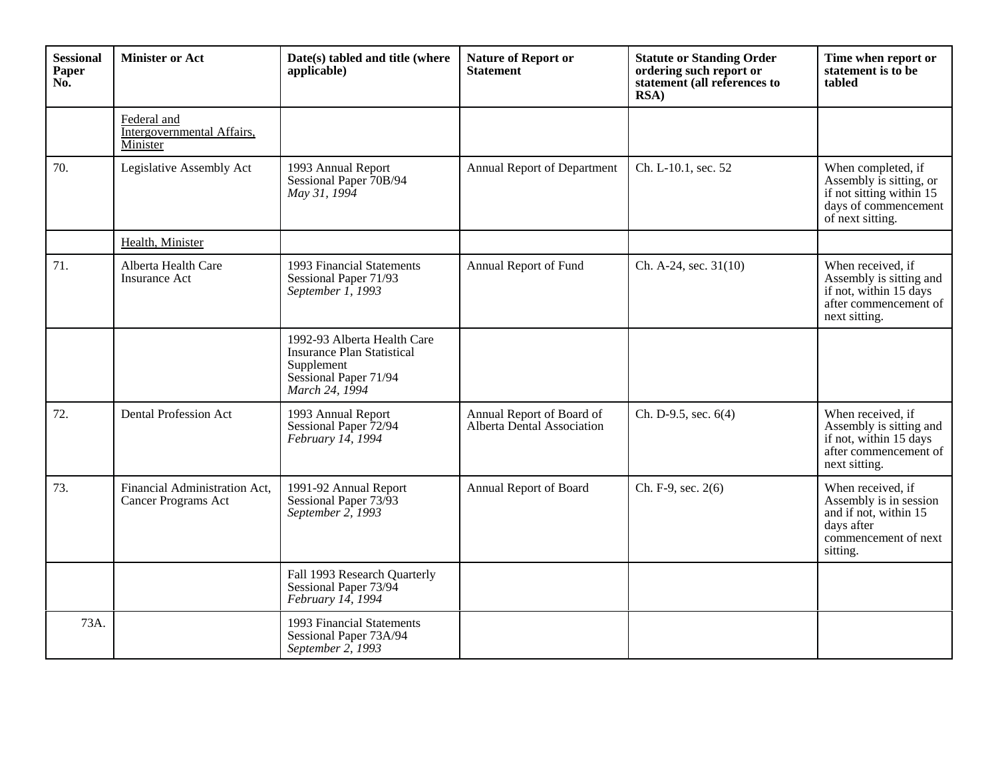| <b>Sessional</b><br>Paper<br>No. | <b>Minister or Act</b>                                | Date(s) tabled and title (where<br>applicable)                                                                            | <b>Nature of Report or</b><br><b>Statement</b>          | <b>Statute or Standing Order</b><br>ordering such report or<br>statement (all references to<br>RSA) | Time when report or<br>statement is to be<br>tabled                                                                    |
|----------------------------------|-------------------------------------------------------|---------------------------------------------------------------------------------------------------------------------------|---------------------------------------------------------|-----------------------------------------------------------------------------------------------------|------------------------------------------------------------------------------------------------------------------------|
|                                  | Federal and<br>Intergovernmental Affairs,<br>Minister |                                                                                                                           |                                                         |                                                                                                     |                                                                                                                        |
| 70.                              | Legislative Assembly Act                              | 1993 Annual Report<br>Sessional Paper 70B/94<br>May 31, 1994                                                              | Annual Report of Department                             | Ch. L-10.1, sec. 52                                                                                 | When completed, if<br>Assembly is sitting, or<br>if not sitting within 15<br>days of commencement<br>of next sitting.  |
|                                  | Health, Minister                                      |                                                                                                                           |                                                         |                                                                                                     |                                                                                                                        |
| 71.                              | Alberta Health Care<br><b>Insurance Act</b>           | 1993 Financial Statements<br>Sessional Paper 71/93<br>September $1,1993$                                                  | Annual Report of Fund                                   | Ch. A-24, sec. 31(10)                                                                               | When received, if<br>Assembly is sitting and<br>if not, within 15 days<br>after commencement of<br>next sitting.       |
|                                  |                                                       | 1992-93 Alberta Health Care<br><b>Insurance Plan Statistical</b><br>Supplement<br>Sessional Paper 71/94<br>March 24, 1994 |                                                         |                                                                                                     |                                                                                                                        |
| 72.                              | Dental Profession Act                                 | 1993 Annual Report<br>Sessional Paper 72/94<br>February 14, 1994                                                          | Annual Report of Board of<br>Alberta Dental Association | Ch. D-9.5, sec. 6(4)                                                                                | When received, if<br>Assembly is sitting and<br>if not, within 15 days<br>after commencement of<br>next sitting.       |
| 73.                              | Financial Administration Act,<br>Cancer Programs Act  | 1991-92 Annual Report<br>Sessional Paper 73/93<br>September 2, 1993                                                       | Annual Report of Board                                  | Ch. F-9, sec. 2(6)                                                                                  | When received, if<br>Assembly is in session<br>and if not, within 15<br>days after<br>commencement of next<br>sitting. |
|                                  |                                                       | Fall 1993 Research Quarterly<br>Sessional Paper 73/94<br>February 14, 1994                                                |                                                         |                                                                                                     |                                                                                                                        |
| 73A.                             |                                                       | 1993 Financial Statements<br>Sessional Paper 73A/94<br>September 2, 1993                                                  |                                                         |                                                                                                     |                                                                                                                        |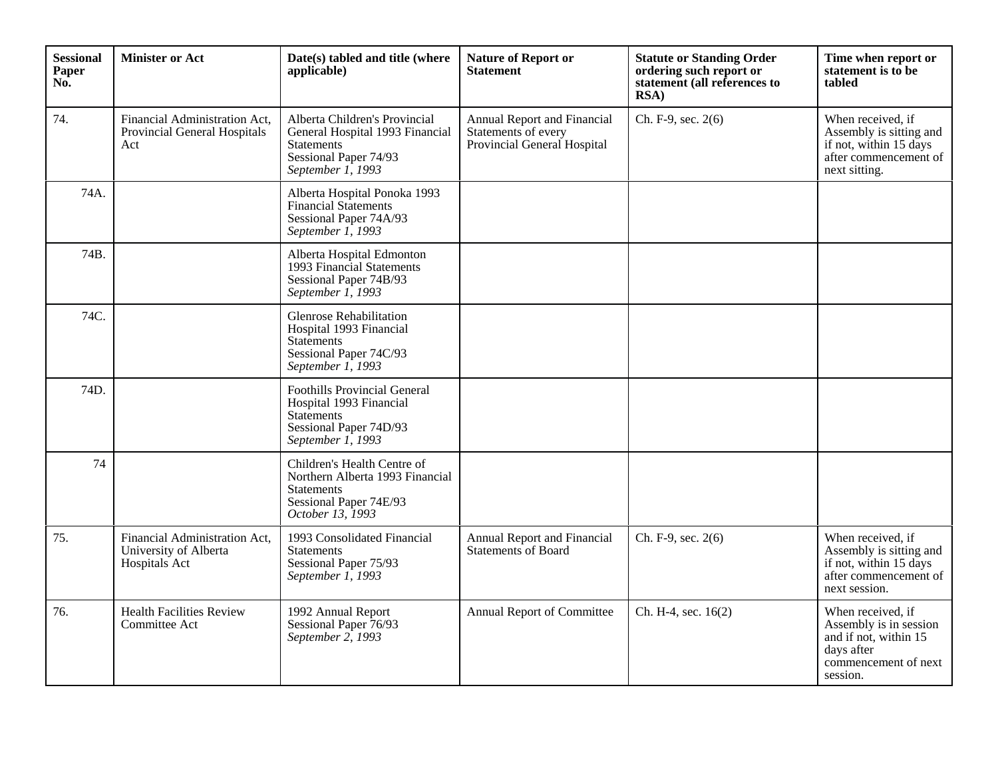| <b>Sessional</b><br>Paper<br>No. | <b>Minister or Act</b>                                                  | Date(s) tabled and title (where<br>applicable)                                                                                      | <b>Nature of Report or</b><br><b>Statement</b>                                    | <b>Statute or Standing Order</b><br>ordering such report or<br>statement (all references to<br>RSA) | Time when report or<br>statement is to be<br>tabled                                                                    |
|----------------------------------|-------------------------------------------------------------------------|-------------------------------------------------------------------------------------------------------------------------------------|-----------------------------------------------------------------------------------|-----------------------------------------------------------------------------------------------------|------------------------------------------------------------------------------------------------------------------------|
| 74.                              | Financial Administration Act,<br>Provincial General Hospitals<br>Act    | Alberta Children's Provincial<br>General Hospital 1993 Financial<br><b>Statements</b><br>Sessional Paper 74/93<br>September 1, 1993 | Annual Report and Financial<br>Statements of every<br>Provincial General Hospital | Ch. F-9, sec. 2(6)                                                                                  | When received, if<br>Assembly is sitting and<br>if not, within 15 days<br>after commencement of<br>next sitting.       |
| 74A.                             |                                                                         | Alberta Hospital Ponoka 1993<br><b>Financial Statements</b><br>Sessional Paper 74A/93<br>September 1, 1993                          |                                                                                   |                                                                                                     |                                                                                                                        |
| 74B.                             |                                                                         | Alberta Hospital Edmonton<br>1993 Financial Statements<br>Sessional Paper 74B/93<br>September 1, 1993                               |                                                                                   |                                                                                                     |                                                                                                                        |
| 74C.                             |                                                                         | <b>Glenrose Rehabilitation</b><br>Hospital 1993 Financial<br><b>Statements</b><br>Sessional Paper 74C/93<br>September 1, 1993       |                                                                                   |                                                                                                     |                                                                                                                        |
| 74D.                             |                                                                         | <b>Foothills Provincial General</b><br>Hospital 1993 Financial<br><b>Statements</b><br>Sessional Paper 74D/93<br>September 1, 1993  |                                                                                   |                                                                                                     |                                                                                                                        |
| 74                               |                                                                         | Children's Health Centre of<br>Northern Alberta 1993 Financial<br><b>Statements</b><br>Sessional Paper 74E/93<br>October 13, 1993   |                                                                                   |                                                                                                     |                                                                                                                        |
| 75.                              | Financial Administration Act,<br>University of Alberta<br>Hospitals Act | 1993 Consolidated Financial<br><b>Statements</b><br>Sessional Paper 75/93<br>September 1, 1993                                      | Annual Report and Financial<br><b>Statements of Board</b>                         | Ch. F-9, sec. $2(6)$                                                                                | When received, if<br>Assembly is sitting and<br>if not, within 15 days<br>after commencement of<br>next session.       |
| 76.                              | <b>Health Facilities Review</b><br>Committee Act                        | 1992 Annual Report<br>Sessional Paper 76/93<br>September 2, 1993                                                                    | Annual Report of Committee                                                        | Ch. H-4, sec. 16(2)                                                                                 | When received, if<br>Assembly is in session<br>and if not, within 15<br>days after<br>commencement of next<br>session. |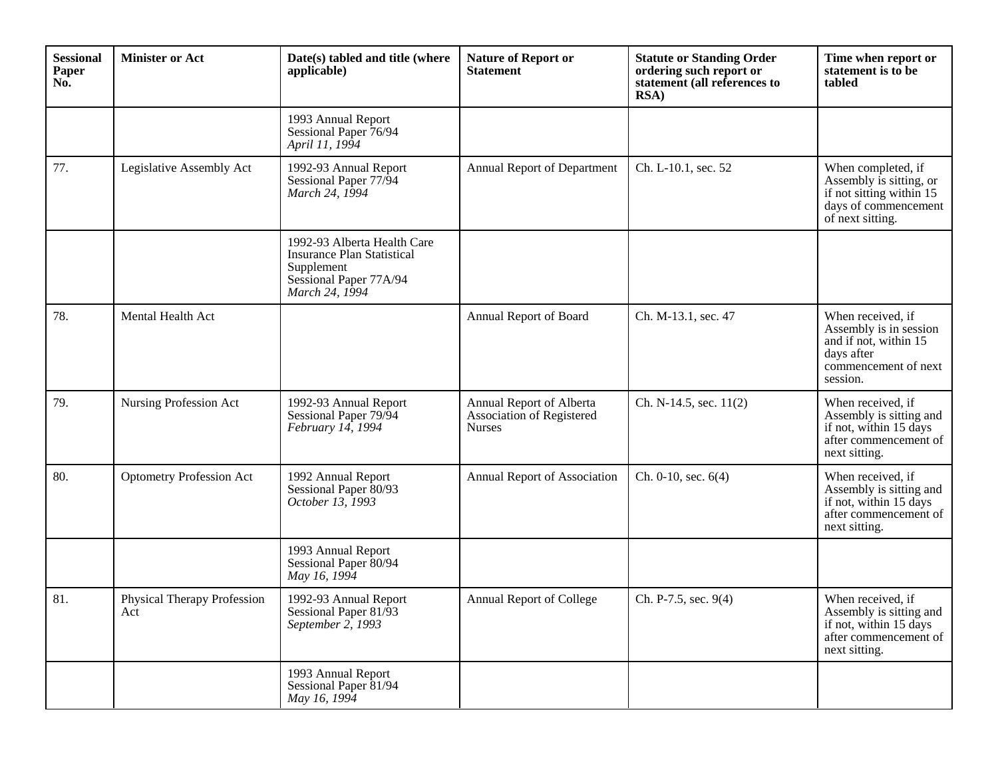| <b>Sessional</b><br>Paper<br>No. | <b>Minister or Act</b>             | Date(s) tabled and title (where<br>applicable)                                                                             | <b>Nature of Report or</b><br><b>Statement</b>                         | <b>Statute or Standing Order</b><br>ordering such report or<br>statement (all references to<br>RSA) | Time when report or<br>statement is to be<br>tabled                                                                    |
|----------------------------------|------------------------------------|----------------------------------------------------------------------------------------------------------------------------|------------------------------------------------------------------------|-----------------------------------------------------------------------------------------------------|------------------------------------------------------------------------------------------------------------------------|
|                                  |                                    | 1993 Annual Report<br>Sessional Paper 76/94<br>April 11, 1994                                                              |                                                                        |                                                                                                     |                                                                                                                        |
| 77.                              | Legislative Assembly Act           | 1992-93 Annual Report<br>Sessional Paper 77/94<br>March 24, 1994                                                           | Annual Report of Department                                            | Ch. L-10.1, sec. 52                                                                                 | When completed, if<br>Assembly is sitting, or<br>if not sitting within 15<br>days of commencement<br>of next sitting.  |
|                                  |                                    | 1992-93 Alberta Health Care<br><b>Insurance Plan Statistical</b><br>Supplement<br>Sessional Paper 77A/94<br>March 24, 1994 |                                                                        |                                                                                                     |                                                                                                                        |
| 78.                              | Mental Health Act                  |                                                                                                                            | Annual Report of Board                                                 | Ch. M-13.1, sec. 47                                                                                 | When received, if<br>Assembly is in session<br>and if not, within 15<br>days after<br>commencement of next<br>session. |
| 79.                              | Nursing Profession Act             | 1992-93 Annual Report<br>Sessional Paper 79/94<br>February 14, 1994                                                        | Annual Report of Alberta<br>Association of Registered<br><b>Nurses</b> | Ch. N-14.5, sec. 11(2)                                                                              | When received, if<br>Assembly is sitting and<br>if not, within 15 days<br>after commencement of<br>next sitting.       |
| 80.                              | <b>Optometry Profession Act</b>    | 1992 Annual Report<br>Sessional Paper 80/93<br>October 13, 1993                                                            | Annual Report of Association                                           | Ch. 0-10, sec. 6(4)                                                                                 | When received, if<br>Assembly is sitting and<br>if not, within 15 days<br>after commencement of<br>next sitting.       |
|                                  |                                    | 1993 Annual Report<br>Sessional Paper 80/94<br>May 16, 1994                                                                |                                                                        |                                                                                                     |                                                                                                                        |
| 81.                              | Physical Therapy Profession<br>Act | 1992-93 Annual Report<br>Sessional Paper 81/93<br>September 2, 1993                                                        | Annual Report of College                                               | Ch. P-7.5, sec. 9(4)                                                                                | When received, if<br>Assembly is sitting and<br>if not, within 15 days<br>after commencement of<br>next sitting.       |
|                                  |                                    | 1993 Annual Report<br>Sessional Paper 81/94<br>May 16, 1994                                                                |                                                                        |                                                                                                     |                                                                                                                        |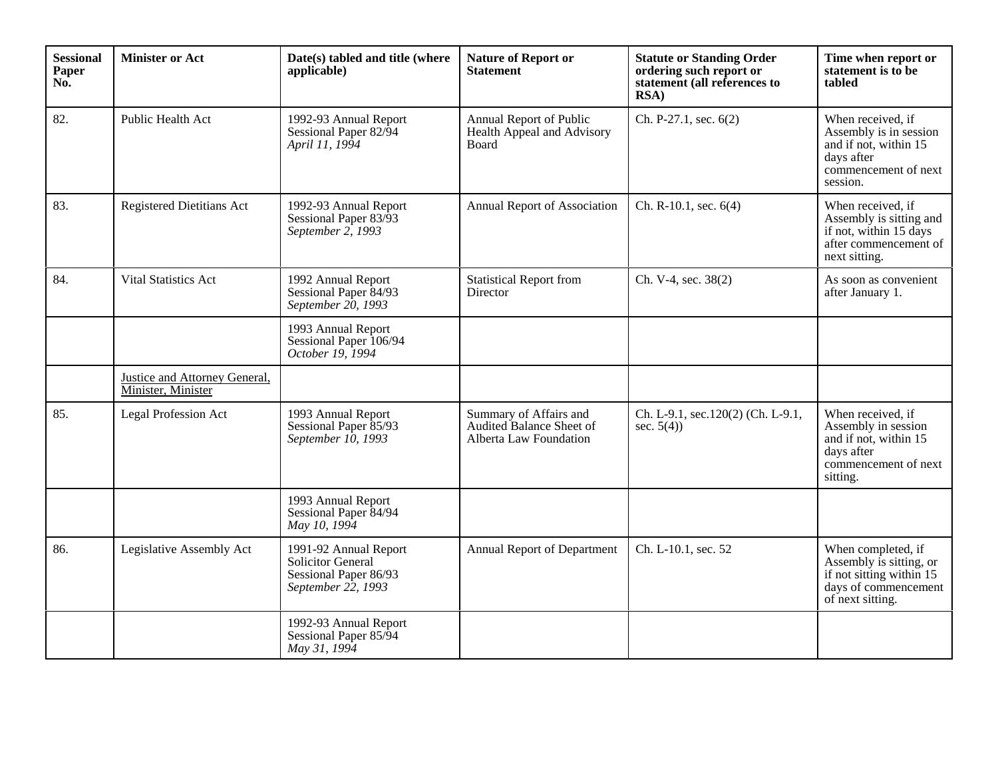| <b>Sessional</b><br>Paper<br>No. | <b>Minister or Act</b>                              | Date(s) tabled and title (where<br>applicable)                                                   | <b>Nature of Report or</b><br><b>Statement</b>                               | <b>Statute or Standing Order</b><br>ordering such report or<br>statement (all references to<br>RSA) | Time when report or<br>statement is to be<br>tabled                                                                    |
|----------------------------------|-----------------------------------------------------|--------------------------------------------------------------------------------------------------|------------------------------------------------------------------------------|-----------------------------------------------------------------------------------------------------|------------------------------------------------------------------------------------------------------------------------|
| 82.                              | Public Health Act                                   | 1992-93 Annual Report<br>Sessional Paper 82/94<br>April 11, 1994                                 | Annual Report of Public<br>Health Appeal and Advisory<br>Board               | Ch. P-27.1, sec. 6(2)                                                                               | When received, if<br>Assembly is in session<br>and if not, within 15<br>days after<br>commencement of next<br>session. |
| 83.                              | <b>Registered Dietitians Act</b>                    | 1992-93 Annual Report<br>Sessional Paper 83/93<br>September 2, 1993                              | Annual Report of Association                                                 | Ch. R-10.1, sec. 6(4)                                                                               | When received, if<br>Assembly is sitting and<br>if not, within 15 days<br>after commencement of<br>next sitting.       |
| 84.                              | <b>Vital Statistics Act</b>                         | 1992 Annual Report<br>Sessional Paper 84/93<br>September 20, 1993                                | <b>Statistical Report from</b><br>Director                                   | Ch. V-4, sec. 38(2)                                                                                 | As soon as convenient<br>after January 1.                                                                              |
|                                  |                                                     | 1993 Annual Report<br>Sessional Paper 106/94<br>October 19, 1994                                 |                                                                              |                                                                                                     |                                                                                                                        |
|                                  | Justice and Attorney General,<br>Minister, Minister |                                                                                                  |                                                                              |                                                                                                     |                                                                                                                        |
| 85.                              | Legal Profession Act                                | 1993 Annual Report<br>Sessional Paper 85/93<br>September 10, 1993                                | Summary of Affairs and<br>Audited Balance Sheet of<br>Alberta Law Foundation | Ch. L-9.1, sec.120(2) (Ch. L-9.1,<br>sec. $5(4)$ )                                                  | When received, if<br>Assembly in session<br>and if not, within 15<br>days after<br>commencement of next<br>sitting.    |
|                                  |                                                     | 1993 Annual Report<br>Sessional Paper 84/94<br>May 10, 1994                                      |                                                                              |                                                                                                     |                                                                                                                        |
| 86.                              | Legislative Assembly Act                            | 1991-92 Annual Report<br><b>Solicitor General</b><br>Sessional Paper 86/93<br>September 22, 1993 | Annual Report of Department                                                  | Ch. L-10.1, sec. 52                                                                                 | When completed, if<br>Assembly is sitting, or<br>if not sitting within 15<br>days of commencement<br>of next sitting.  |
|                                  |                                                     | 1992-93 Annual Report<br>Sessional Paper 85/94<br>May 31, 1994                                   |                                                                              |                                                                                                     |                                                                                                                        |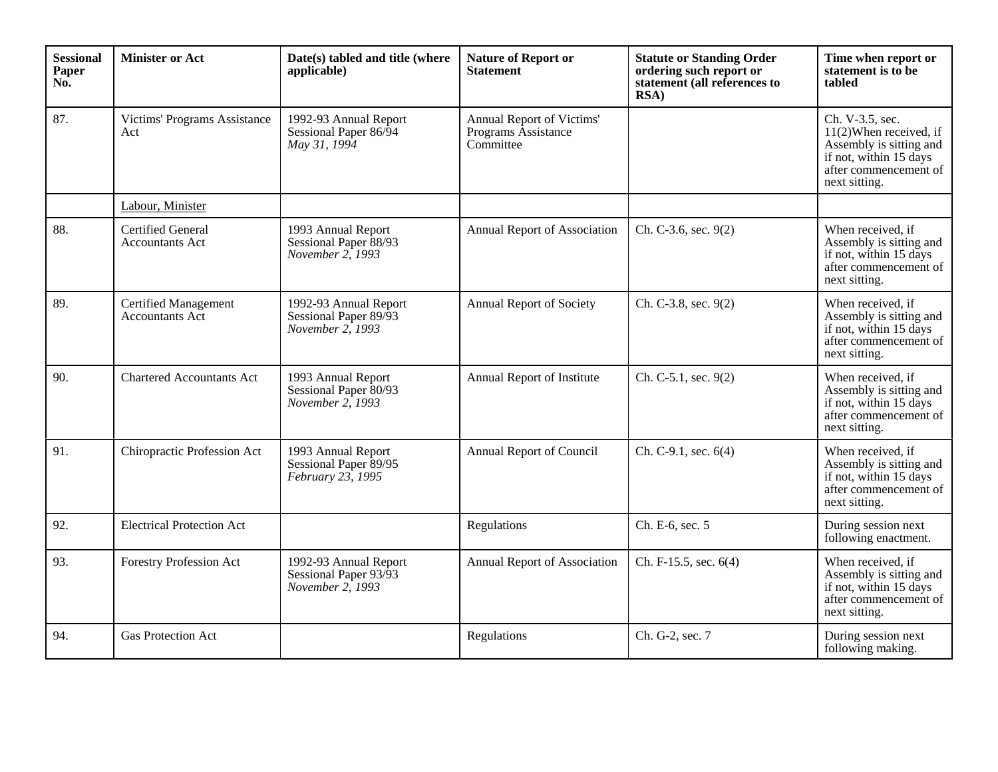| <b>Sessional</b><br>Paper<br>No. | <b>Minister or Act</b>                             | Date(s) tabled and title (where<br>applicable)                     | <b>Nature of Report or</b><br><b>Statement</b>                | <b>Statute or Standing Order</b><br>ordering such report or<br>statement (all references to<br>RSA) | Time when report or<br>statement is to be<br>tabled                                                                                         |
|----------------------------------|----------------------------------------------------|--------------------------------------------------------------------|---------------------------------------------------------------|-----------------------------------------------------------------------------------------------------|---------------------------------------------------------------------------------------------------------------------------------------------|
| 87.                              | Victims' Programs Assistance<br>Act                | 1992-93 Annual Report<br>Sessional Paper 86/94<br>May 31, 1994     | Annual Report of Victims'<br>Programs Assistance<br>Committee |                                                                                                     | Ch. V-3.5, sec.<br>$11(2)$ When received, if<br>Assembly is sitting and<br>if not, within 15 days<br>after commencement of<br>next sitting. |
|                                  | Labour, Minister                                   |                                                                    |                                                               |                                                                                                     |                                                                                                                                             |
| 88.                              | <b>Certified General</b><br><b>Accountants Act</b> | 1993 Annual Report<br>Sessional Paper 88/93<br>November 2, 1993    | Annual Report of Association                                  | Ch. C-3.6, sec. 9(2)                                                                                | When received, if<br>Assembly is sitting and<br>if not, within 15 days<br>after commencement of<br>next sitting.                            |
| 89.                              | <b>Certified Management</b><br>Accountants Act     | 1992-93 Annual Report<br>Sessional Paper 89/93<br>November 2, 1993 | Annual Report of Society                                      | Ch. C-3.8, sec. 9(2)                                                                                | When received, if<br>Assembly is sitting and<br>if not, within 15 days<br>after commencement of<br>next sitting.                            |
| 90.                              | <b>Chartered Accountants Act</b>                   | 1993 Annual Report<br>Sessional Paper 80/93<br>November 2, 1993    | Annual Report of Institute                                    | Ch. C-5.1, sec. 9(2)                                                                                | When received, if<br>Assembly is sitting and<br>if not, within 15 days<br>after commencement of<br>next sitting.                            |
| 91.                              | Chiropractic Profession Act                        | 1993 Annual Report<br>Sessional Paper 89/95<br>February 23, 1995   | Annual Report of Council                                      | Ch. C-9.1, sec. 6(4)                                                                                | When received, if<br>Assembly is sitting and<br>if not, within 15 days<br>after commencement of<br>next sitting.                            |
| 92.                              | <b>Electrical Protection Act</b>                   |                                                                    | Regulations                                                   | Ch. E-6, sec. 5                                                                                     | During session next<br>following enactment.                                                                                                 |
| 93.                              | <b>Forestry Profession Act</b>                     | 1992-93 Annual Report<br>Sessional Paper 93/93<br>November 2, 1993 | Annual Report of Association                                  | Ch. F-15.5, sec. 6(4)                                                                               | When received, if<br>Assembly is sitting and<br>if not, within 15 days<br>after commencement of<br>next sitting.                            |
| 94.                              | <b>Gas Protection Act</b>                          |                                                                    | Regulations                                                   | Ch. G-2, sec. 7                                                                                     | During session next<br>following making.                                                                                                    |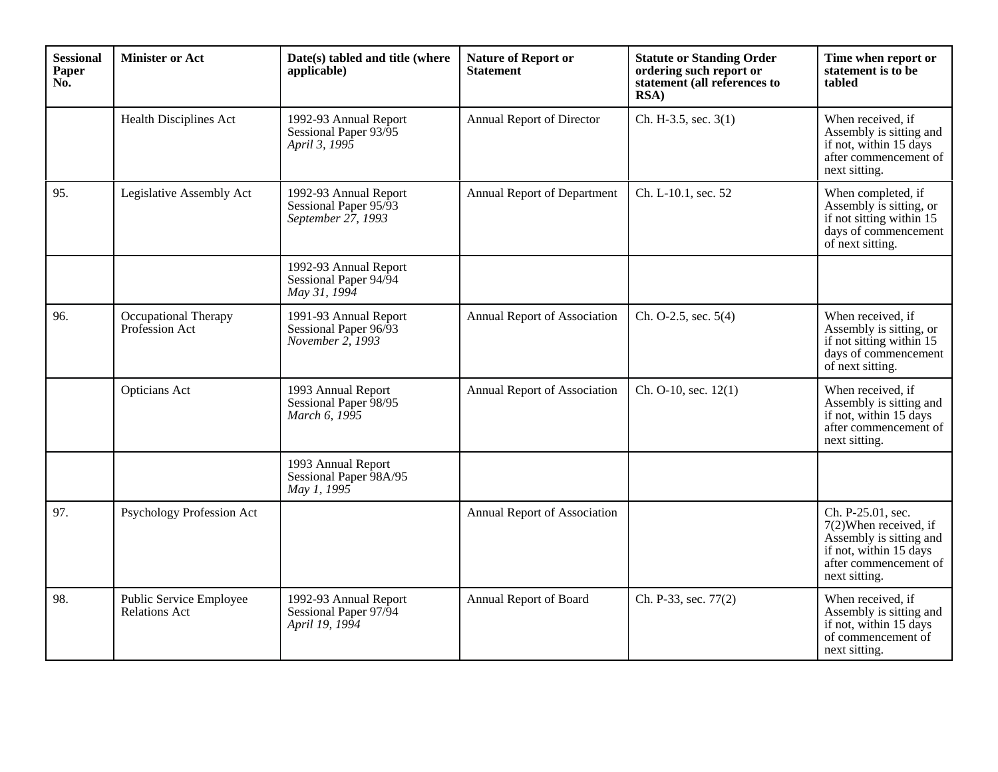| <b>Sessional</b><br>Paper<br>No. | <b>Minister or Act</b>                          | Date(s) tabled and title (where<br>applicable)                       | <b>Nature of Report or</b><br><b>Statement</b> | <b>Statute or Standing Order</b><br>ordering such report or<br>statement (all references to<br>RSA) | Time when report or<br>statement is to be<br>tabled                                                                                        |
|----------------------------------|-------------------------------------------------|----------------------------------------------------------------------|------------------------------------------------|-----------------------------------------------------------------------------------------------------|--------------------------------------------------------------------------------------------------------------------------------------------|
|                                  | <b>Health Disciplines Act</b>                   | 1992-93 Annual Report<br>Sessional Paper 93/95<br>April 3, 1995      | Annual Report of Director                      | Ch. H-3.5, sec. 3(1)                                                                                | When received, if<br>Assembly is sitting and<br>if not, within 15 days<br>after commencement of<br>next sitting.                           |
| 95.                              | Legislative Assembly Act                        | 1992-93 Annual Report<br>Sessional Paper 95/93<br>September 27, 1993 | Annual Report of Department                    | Ch. L-10.1, sec. 52                                                                                 | When completed, if<br>Assembly is sitting, or<br>if not sitting within 15<br>days of commencement<br>of next sitting.                      |
|                                  |                                                 | 1992-93 Annual Report<br>Sessional Paper 94/94<br>May 31, 1994       |                                                |                                                                                                     |                                                                                                                                            |
| 96.                              | Occupational Therapy<br>Profession Act          | 1991-93 Annual Report<br>Sessional Paper 96/93<br>November 2, 1993   | Annual Report of Association                   | Ch. O-2.5, sec. 5(4)                                                                                | When received, if<br>Assembly is sitting, or<br>if not sitting within 15<br>days of commencement<br>of next sitting.                       |
|                                  | <b>Opticians Act</b>                            | 1993 Annual Report<br>Sessional Paper 98/95<br>March 6, 1995         | Annual Report of Association                   | Ch. O-10, sec. 12(1)                                                                                | When received, if<br>Assembly is sitting and<br>if not, within 15 days<br>after commencement of<br>next sitting.                           |
|                                  |                                                 | 1993 Annual Report<br>Sessional Paper 98A/95<br>May 1, 1995          |                                                |                                                                                                     |                                                                                                                                            |
| 97.                              | Psychology Profession Act                       |                                                                      | Annual Report of Association                   |                                                                                                     | Ch. P-25.01, sec.<br>7(2) When received, if<br>Assembly is sitting and<br>if not, within 15 days<br>after commencement of<br>next sitting. |
| 98.                              | Public Service Employee<br><b>Relations Act</b> | 1992-93 Annual Report<br>Sessional Paper 97/94<br>April 19, 1994     | Annual Report of Board                         | Ch. P-33, sec. 77(2)                                                                                | When received, if<br>Assembly is sitting and<br>if not, within 15 days<br>of commencement of<br>next sitting.                              |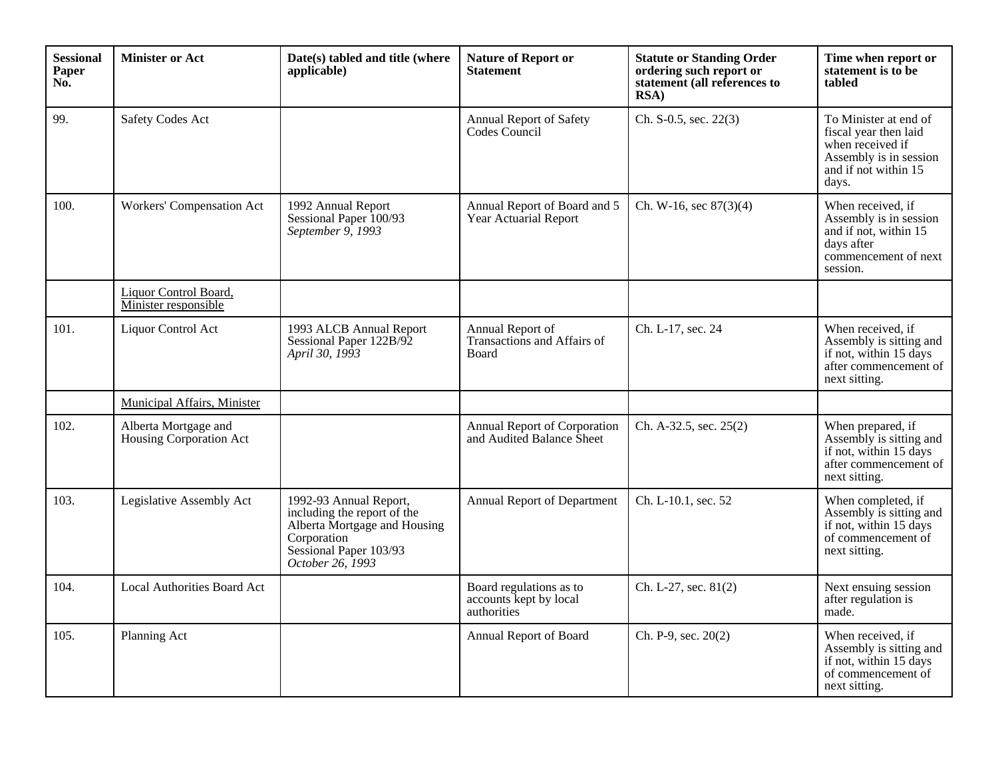| <b>Sessional</b><br>Paper<br>No. | <b>Minister or Act</b>                          | Date(s) tabled and title (where<br>applicable)                                                                                                     | <b>Nature of Report or</b><br><b>Statement</b>                   | <b>Statute or Standing Order</b><br>ordering such report or<br>statement (all references to<br>RSA) | Time when report or<br>statement is to be<br>tabled                                                                           |
|----------------------------------|-------------------------------------------------|----------------------------------------------------------------------------------------------------------------------------------------------------|------------------------------------------------------------------|-----------------------------------------------------------------------------------------------------|-------------------------------------------------------------------------------------------------------------------------------|
| 99.                              | <b>Safety Codes Act</b>                         |                                                                                                                                                    | Annual Report of Safety<br>Codes Council                         | Ch. S-0.5, sec. 22(3)                                                                               | To Minister at end of<br>fiscal year then laid<br>when received if<br>Assembly is in session<br>and if not within 15<br>days. |
| 100.                             | Workers' Compensation Act                       | 1992 Annual Report<br>Sessional Paper 100/93<br>September 9, 1993                                                                                  | Annual Report of Board and 5<br>Year Actuarial Report            | Ch. W-16, sec $87(3)(4)$                                                                            | When received, if<br>Assembly is in session<br>and if not, within 15<br>days after<br>commencement of next<br>session.        |
|                                  | Liquor Control Board,<br>Minister responsible   |                                                                                                                                                    |                                                                  |                                                                                                     |                                                                                                                               |
| 101.                             | Liquor Control Act                              | 1993 ALCB Annual Report<br>Sessional Paper 122B/92<br>April 30, 1993                                                                               | Annual Report of<br>Transactions and Affairs of<br>Board         | Ch. L-17, sec. 24                                                                                   | When received, if<br>Assembly is sitting and<br>if not, within 15 days<br>after commencement of<br>next sitting.              |
|                                  | Municipal Affairs, Minister                     |                                                                                                                                                    |                                                                  |                                                                                                     |                                                                                                                               |
| 102.                             | Alberta Mortgage and<br>Housing Corporation Act |                                                                                                                                                    | Annual Report of Corporation<br>and Audited Balance Sheet        | Ch. A-32.5, sec. 25(2)                                                                              | When prepared, if<br>Assembly is sitting and<br>if not, within 15 days<br>after commencement of<br>next sitting.              |
| 103.                             | Legislative Assembly Act                        | 1992-93 Annual Report,<br>including the report of the<br>Alberta Mortgage and Housing<br>Corporation<br>Sessional Paper 103/93<br>October 26, 1993 | Annual Report of Department                                      | Ch. L-10.1, sec. 52                                                                                 | When completed, if<br>Assembly is sitting and<br>if not, within 15 days<br>of commencement of<br>next sitting.                |
| 104.                             | <b>Local Authorities Board Act</b>              |                                                                                                                                                    | Board regulations as to<br>accounts kept by local<br>authorities | Ch. L-27, sec. 81(2)                                                                                | Next ensuing session<br>after regulation is<br>made.                                                                          |
| 105.                             | Planning Act                                    |                                                                                                                                                    | Annual Report of Board                                           | Ch. P-9, sec. 20(2)                                                                                 | When received, if<br>Assembly is sitting and<br>if not, within 15 days<br>of commencement of<br>next sitting.                 |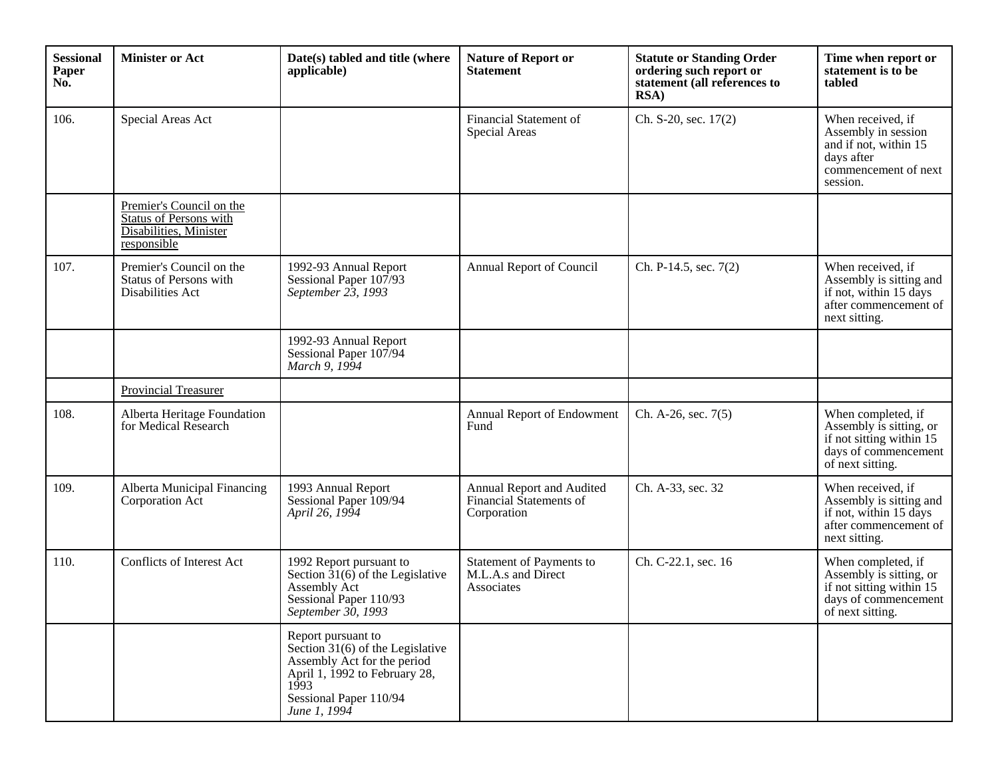| <b>Sessional</b><br>Paper<br>No. | <b>Minister or Act</b>                                                                             | Date(s) tabled and title (where<br>applicable)                                                                                                                             | <b>Nature of Report or</b><br><b>Statement</b>                      | <b>Statute or Standing Order</b><br>ordering such report or<br>statement (all references to<br>RSA) | Time when report or<br>statement is to be<br>tabled                                                                   |
|----------------------------------|----------------------------------------------------------------------------------------------------|----------------------------------------------------------------------------------------------------------------------------------------------------------------------------|---------------------------------------------------------------------|-----------------------------------------------------------------------------------------------------|-----------------------------------------------------------------------------------------------------------------------|
| 106.                             | Special Areas Act                                                                                  |                                                                                                                                                                            | Financial Statement of<br>Special Areas                             | Ch. S-20, sec. 17(2)                                                                                | When received, if<br>Assembly in session<br>and if not, within 15<br>days after<br>commencement of next<br>session.   |
|                                  | Premier's Council on the<br><b>Status of Persons with</b><br>Disabilities, Minister<br>responsible |                                                                                                                                                                            |                                                                     |                                                                                                     |                                                                                                                       |
| 107.                             | Premier's Council on the<br>Status of Persons with<br>Disabilities Act                             | 1992-93 Annual Report<br>Sessional Paper 107/93<br>September 23, 1993                                                                                                      | Annual Report of Council                                            | Ch. P-14.5, sec. 7(2)                                                                               | When received, if<br>Assembly is sitting and<br>if not, within 15 days<br>after commencement of<br>next sitting.      |
|                                  |                                                                                                    | 1992-93 Annual Report<br>Sessional Paper 107/94<br>March 9, 1994                                                                                                           |                                                                     |                                                                                                     |                                                                                                                       |
|                                  | <b>Provincial Treasurer</b>                                                                        |                                                                                                                                                                            |                                                                     |                                                                                                     |                                                                                                                       |
| 108.                             | Alberta Heritage Foundation<br>for Medical Research                                                |                                                                                                                                                                            | Annual Report of Endowment<br>Fund                                  | Ch. A-26, sec. 7(5)                                                                                 | When completed, if<br>Assembly is sitting, or<br>if not sitting within 15<br>days of commencement<br>of next sitting. |
| 109.                             | Alberta Municipal Financing<br>Corporation Act                                                     | 1993 Annual Report<br>Sessional Paper 109/94<br>April 26, 1994                                                                                                             | Annual Report and Audited<br>Financial Statements of<br>Corporation | Ch. A-33, sec. 32                                                                                   | When received, if<br>Assembly is sitting and<br>if not, within 15 days<br>after commencement of<br>next sitting.      |
| 110.                             | Conflicts of Interest Act                                                                          | 1992 Report pursuant to<br>Section $31(6)$ of the Legislative<br>Assembly Act<br>Sessional Paper 110/93<br>September 30, 1993                                              | Statement of Payments to<br>M.L.A.s and Direct<br>Associates        | Ch. C-22.1, sec. 16                                                                                 | When completed, if<br>Assembly is sitting, or<br>if not sitting within 15<br>days of commencement<br>of next sitting. |
|                                  |                                                                                                    | Report pursuant to<br>Section $31(6)$ of the Legislative<br>Assembly Act for the period<br>April 1, 1992 to February 28,<br>1993<br>Sessional Paper 110/94<br>June 1, 1994 |                                                                     |                                                                                                     |                                                                                                                       |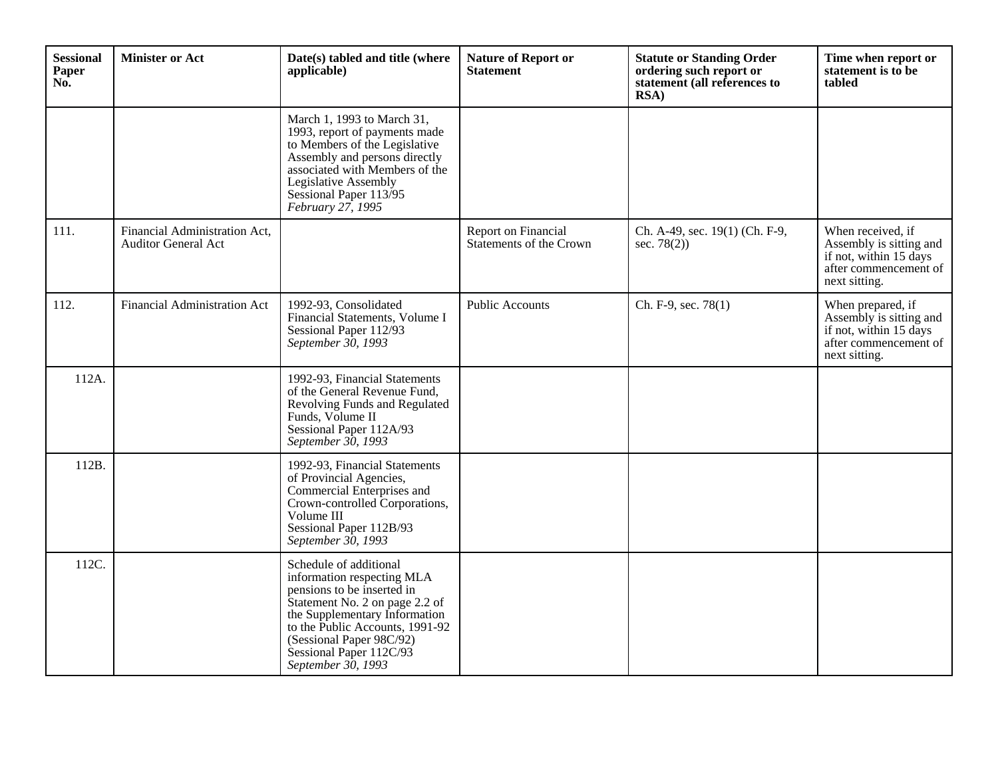| <b>Sessional</b><br>Paper<br>No. | <b>Minister or Act</b>                                      | Date(s) tabled and title (where<br>applicable)                                                                                                                                                                                                                        | <b>Nature of Report or</b><br><b>Statement</b> | <b>Statute or Standing Order</b><br>ordering such report or<br>statement (all references to<br>RSA) | Time when report or<br>statement is to be<br>tabled                                                              |
|----------------------------------|-------------------------------------------------------------|-----------------------------------------------------------------------------------------------------------------------------------------------------------------------------------------------------------------------------------------------------------------------|------------------------------------------------|-----------------------------------------------------------------------------------------------------|------------------------------------------------------------------------------------------------------------------|
|                                  |                                                             | March 1, 1993 to March 31,<br>1993, report of payments made<br>to Members of the Legislative<br>Assembly and persons directly<br>associated with Members of the<br>Legislative Assembly<br>Sessional Paper 113/95<br>February 27, 1995                                |                                                |                                                                                                     |                                                                                                                  |
| 111.                             | Financial Administration Act,<br><b>Auditor General Act</b> |                                                                                                                                                                                                                                                                       | Report on Financial<br>Statements of the Crown | Ch. A-49, sec. 19(1) (Ch. F-9,<br>sec. $78(2)$ )                                                    | When received, if<br>Assembly is sitting and<br>if not, within 15 days<br>after commencement of<br>next sitting. |
| 112.                             | Financial Administration Act                                | 1992-93, Consolidated<br>Financial Statements, Volume I<br>Sessional Paper 112/93<br>September 30, 1993                                                                                                                                                               | <b>Public Accounts</b>                         | Ch. F-9, sec. 78(1)                                                                                 | When prepared, if<br>Assembly is sitting and<br>if not, within 15 days<br>after commencement of<br>next sitting. |
| 112A.                            |                                                             | 1992-93, Financial Statements<br>of the General Revenue Fund,<br>Revolving Funds and Regulated<br>Funds, Volume II<br>Sessional Paper 112A/93<br>September 30, 1993                                                                                                   |                                                |                                                                                                     |                                                                                                                  |
| 112B.                            |                                                             | 1992-93, Financial Statements<br>of Provincial Agencies,<br>Commercial Enterprises and<br>Crown-controlled Corporations,<br>Volume III<br>Sessional Paper 112B/93<br>September 30, 1993                                                                               |                                                |                                                                                                     |                                                                                                                  |
| 112C.                            |                                                             | Schedule of additional<br>information respecting MLA<br>pensions to be inserted in<br>Statement No. 2 on page 2.2 of<br>the Supplementary Information<br>to the Public Accounts, 1991-92<br>(Sessional Paper 98C/92)<br>Sessional Paper 112C/93<br>September 30, 1993 |                                                |                                                                                                     |                                                                                                                  |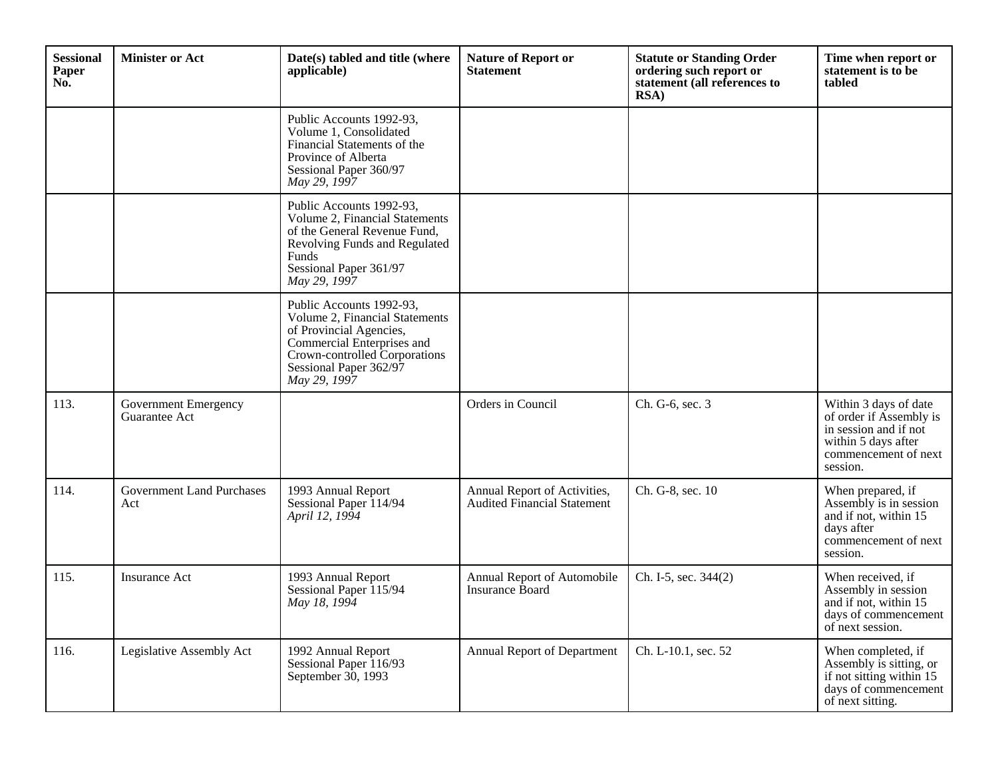| <b>Sessional</b><br>Paper<br>No. | <b>Minister or Act</b>                       | Date(s) tabled and title (where<br>applicable)                                                                                                                                                        | <b>Nature of Report or</b><br><b>Statement</b>                     | <b>Statute or Standing Order</b><br>ordering such report or<br>statement (all references to<br>RSA) | Time when report or<br>statement is to be<br>tabled                                                                                  |
|----------------------------------|----------------------------------------------|-------------------------------------------------------------------------------------------------------------------------------------------------------------------------------------------------------|--------------------------------------------------------------------|-----------------------------------------------------------------------------------------------------|--------------------------------------------------------------------------------------------------------------------------------------|
|                                  |                                              | Public Accounts 1992-93,<br>Volume 1, Consolidated<br>Financial Statements of the<br>Province of Alberta<br>Sessional Paper 360/97<br>May 29, 1997                                                    |                                                                    |                                                                                                     |                                                                                                                                      |
|                                  |                                              | Public Accounts 1992-93,<br>Volume 2, Financial Statements<br>of the General Revenue Fund,<br>Revolving Funds and Regulated<br>Funds<br>Sessional Paper 361/97<br>May 29, 1997                        |                                                                    |                                                                                                     |                                                                                                                                      |
|                                  |                                              | Public Accounts 1992-93,<br><b>Volume 2, Financial Statements</b><br>of Provincial Agencies,<br>Commercial Enterprises and<br>Crown-controlled Corporations<br>Sessional Paper 362/97<br>May 29, 1997 |                                                                    |                                                                                                     |                                                                                                                                      |
| 113.                             | <b>Government Emergency</b><br>Guarantee Act |                                                                                                                                                                                                       | Orders in Council                                                  | Ch. G-6, sec. 3                                                                                     | Within 3 days of date<br>of order if Assembly is<br>in session and if not<br>within 5 days after<br>commencement of next<br>session. |
| 114.                             | <b>Government Land Purchases</b><br>Act      | 1993 Annual Report<br>Sessional Paper 114/94<br>April 12, 1994                                                                                                                                        | Annual Report of Activities,<br><b>Audited Financial Statement</b> | Ch. G-8, sec. 10                                                                                    | When prepared, if<br>Assembly is in session<br>and if not, within 15<br>days after<br>commencement of next<br>session.               |
| 115.                             | <b>Insurance Act</b>                         | 1993 Annual Report<br>Sessional Paper 115/94<br>May 18, 1994                                                                                                                                          | Annual Report of Automobile<br>Insurance Board                     | Ch. I-5, sec. 344(2)                                                                                | When received, if<br>Assembly in session<br>and if not, within 15<br>days of commencement<br>of next session.                        |
| 116.                             | Legislative Assembly Act                     | 1992 Annual Report<br>Sessional Paper 116/93<br>September 30, 1993                                                                                                                                    | Annual Report of Department                                        | Ch. L-10.1, sec. 52                                                                                 | When completed, if<br>Assembly is sitting, or<br>if not sitting within 15<br>days of commencement<br>of next sitting.                |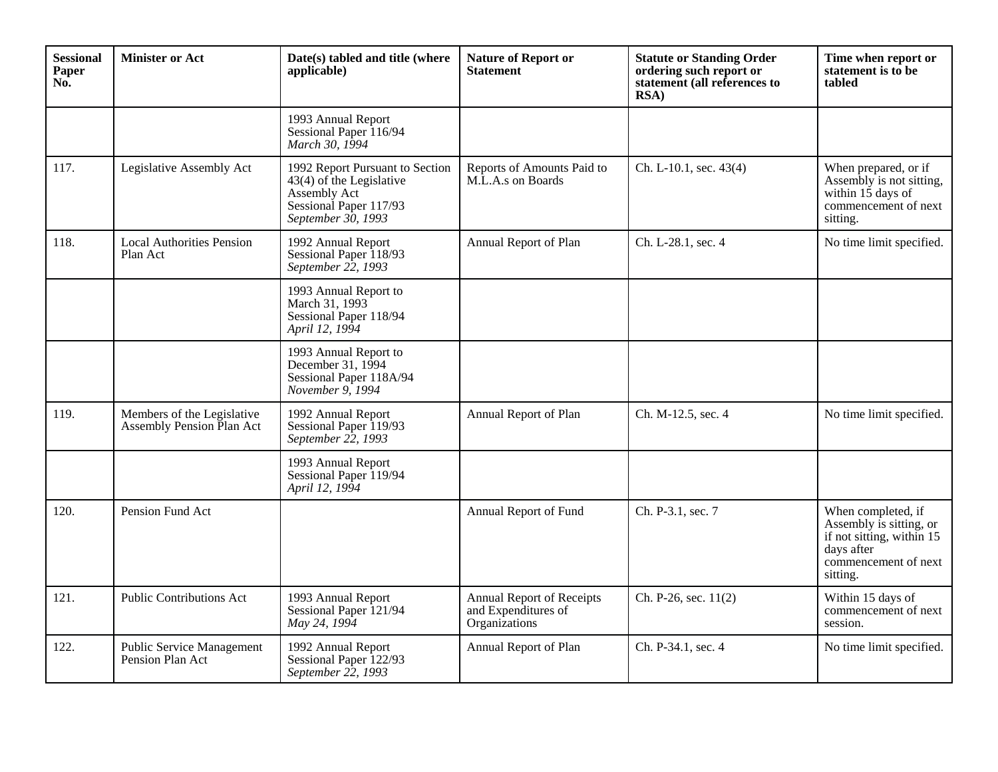| <b>Sessional</b><br>Paper<br>No. | <b>Minister or Act</b>                                  | Date(s) tabled and title (where<br>applicable)                                                                                | <b>Nature of Report or</b><br><b>Statement</b>                           | <b>Statute or Standing Order</b><br>ordering such report or<br>statement (all references to<br>RSA) | Time when report or<br>statement is to be<br>tabled                                                                          |
|----------------------------------|---------------------------------------------------------|-------------------------------------------------------------------------------------------------------------------------------|--------------------------------------------------------------------------|-----------------------------------------------------------------------------------------------------|------------------------------------------------------------------------------------------------------------------------------|
|                                  |                                                         | 1993 Annual Report<br>Sessional Paper 116/94<br>March 30, 1994                                                                |                                                                          |                                                                                                     |                                                                                                                              |
| 117.                             | Legislative Assembly Act                                | 1992 Report Pursuant to Section<br>$43(4)$ of the Legislative<br>Assembly Act<br>Sessional Paper 117/93<br>September 30, 1993 | Reports of Amounts Paid to<br>M.L.A.s on Boards                          | Ch. L-10.1, sec. 43(4)                                                                              | When prepared, or if<br>Assembly is not sitting,<br>within $15$ days of<br>commencement of next<br>sitting.                  |
| 118.                             | <b>Local Authorities Pension</b><br>Plan Act            | 1992 Annual Report<br>Sessional Paper 118/93<br>September 22, 1993                                                            | Annual Report of Plan                                                    | Ch. L-28.1, sec. 4                                                                                  | No time limit specified.                                                                                                     |
|                                  |                                                         | 1993 Annual Report to<br>March 31, 1993<br>Sessional Paper 118/94<br>April 12, 1994                                           |                                                                          |                                                                                                     |                                                                                                                              |
|                                  |                                                         | 1993 Annual Report to<br>December 31, 1994<br>Sessional Paper 118A/94<br>November $9,1994$                                    |                                                                          |                                                                                                     |                                                                                                                              |
| 119.                             | Members of the Legislative<br>Assembly Pension Plan Act | 1992 Annual Report<br>Sessional Paper 119/93<br>September 22, 1993                                                            | Annual Report of Plan                                                    | Ch. M-12.5, sec. 4                                                                                  | No time limit specified.                                                                                                     |
|                                  |                                                         | 1993 Annual Report<br>Sessional Paper 119/94<br>April 12, 1994                                                                |                                                                          |                                                                                                     |                                                                                                                              |
| 120.                             | Pension Fund Act                                        |                                                                                                                               | Annual Report of Fund                                                    | Ch. P-3.1, sec. 7                                                                                   | When completed, if<br>Assembly is sitting, or<br>if not sitting, within 15<br>days after<br>commencement of next<br>sitting. |
| 121.                             | <b>Public Contributions Act</b>                         | 1993 Annual Report<br>Sessional Paper 121/94<br>May 24, 1994                                                                  | <b>Annual Report of Receipts</b><br>and Expenditures of<br>Organizations | Ch. P-26, sec. 11(2)                                                                                | Within 15 days of<br>commencement of next<br>session.                                                                        |
| 122.                             | Public Service Management<br>Pension Plan Act           | 1992 Annual Report<br>Sessional Paper 122/93<br>September 22, 1993                                                            | Annual Report of Plan                                                    | Ch. P-34.1, sec. 4                                                                                  | No time limit specified.                                                                                                     |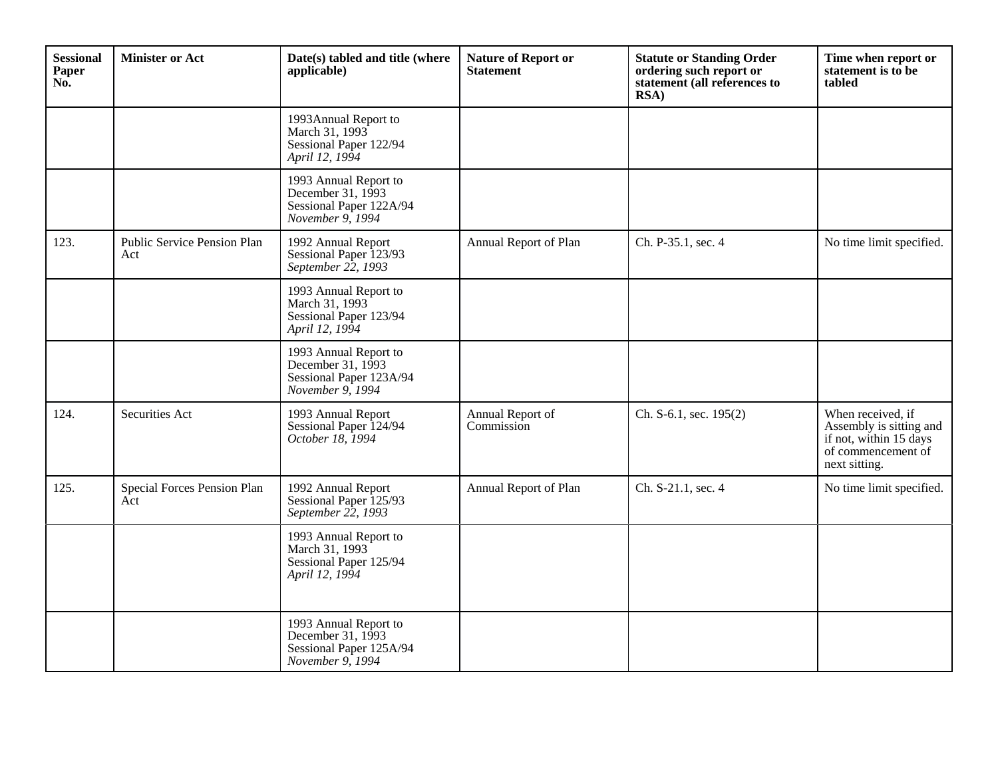| <b>Sessional</b><br>Paper<br>No. | <b>Minister or Act</b>             | Date(s) tabled and title (where<br>applicable)                                             | <b>Nature of Report or</b><br><b>Statement</b> | <b>Statute or Standing Order</b><br>ordering such report or<br>statement (all references to<br>RSA) | Time when report or<br>statement is to be<br>tabled                                                           |
|----------------------------------|------------------------------------|--------------------------------------------------------------------------------------------|------------------------------------------------|-----------------------------------------------------------------------------------------------------|---------------------------------------------------------------------------------------------------------------|
|                                  |                                    | 1993Annual Report to<br>March 31, 1993<br>Sessional Paper 122/94<br>April 12, 1994         |                                                |                                                                                                     |                                                                                                               |
|                                  |                                    | 1993 Annual Report to<br>December 31, 1993<br>Sessional Paper 122A/94<br>November $9,1994$ |                                                |                                                                                                     |                                                                                                               |
| 123.                             | Public Service Pension Plan<br>Act | 1992 Annual Report<br>Sessional Paper 123/93<br>September 22, 1993                         | Annual Report of Plan                          | Ch. P-35.1, sec. 4                                                                                  | No time limit specified.                                                                                      |
|                                  |                                    | 1993 Annual Report to<br>March 31, 1993<br>Sessional Paper 123/94<br>April 12, 1994        |                                                |                                                                                                     |                                                                                                               |
|                                  |                                    | 1993 Annual Report to<br>December 31, 1993<br>Sessional Paper 123A/94<br>November $9,1994$ |                                                |                                                                                                     |                                                                                                               |
| 124.                             | Securities Act                     | 1993 Annual Report<br>Sessional Paper 124/94<br>October 18, 1994                           | Annual Report of<br>Commission                 | Ch. S-6.1, sec. 195(2)                                                                              | When received, if<br>Assembly is sitting and<br>if not, within 15 days<br>of commencement of<br>next sitting. |
| 125.                             | Special Forces Pension Plan<br>Act | 1992 Annual Report<br>Sessional Paper 125/93<br>September 22, 1993                         | Annual Report of Plan                          | Ch. S-21.1, sec. 4                                                                                  | No time limit specified.                                                                                      |
|                                  |                                    | 1993 Annual Report to<br>March 31, 1993<br>Sessional Paper 125/94<br>April 12, 1994        |                                                |                                                                                                     |                                                                                                               |
|                                  |                                    | 1993 Annual Report to<br>December 31, 1993<br>Sessional Paper 125A/94<br>November 9, 1994  |                                                |                                                                                                     |                                                                                                               |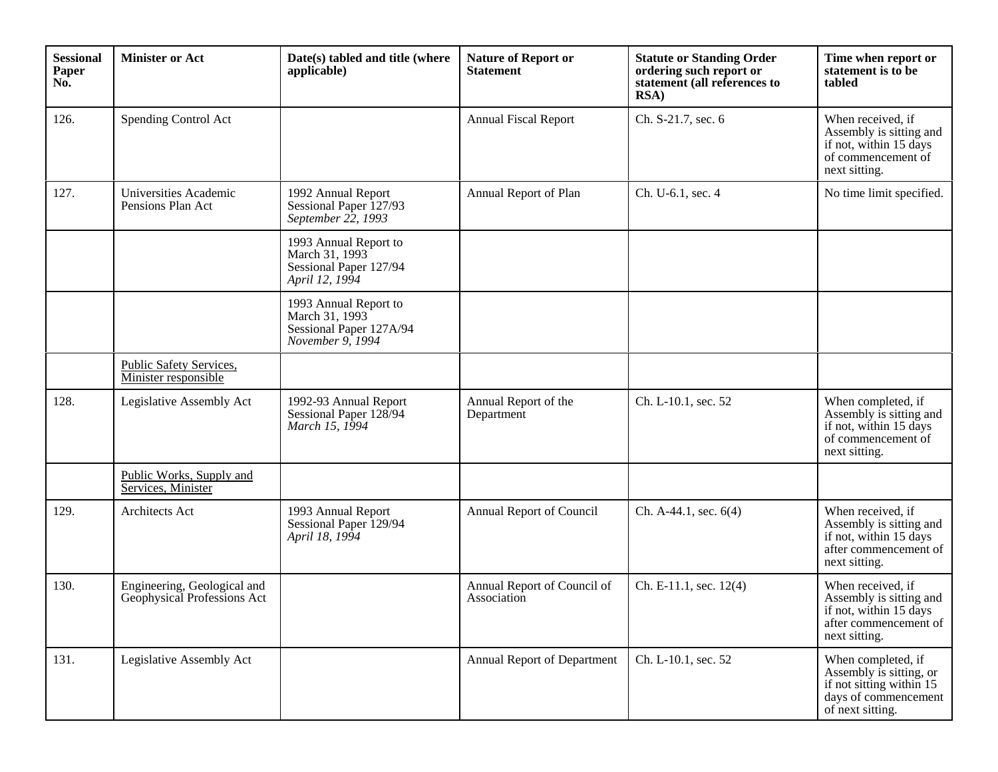| <b>Sessional</b><br>Paper<br>No. | <b>Minister or Act</b>                                     | Date(s) tabled and title (where<br>applicable)                                         | <b>Nature of Report or</b><br><b>Statement</b> | <b>Statute or Standing Order</b><br>ordering such report or<br>statement (all references to<br>RSA) | Time when report or<br>statement is to be<br>tabled                                                                   |
|----------------------------------|------------------------------------------------------------|----------------------------------------------------------------------------------------|------------------------------------------------|-----------------------------------------------------------------------------------------------------|-----------------------------------------------------------------------------------------------------------------------|
| 126.                             | Spending Control Act                                       |                                                                                        | <b>Annual Fiscal Report</b>                    | Ch. S-21.7, sec. 6                                                                                  | When received, if<br>Assembly is sitting and<br>if not, within 15 days<br>of commencement of<br>next sitting.         |
| 127.                             | Universities Academic<br>Pensions Plan Act                 | 1992 Annual Report<br>Sessional Paper 127/93<br>September 22, 1993                     | Annual Report of Plan                          | Ch. U-6.1, sec. 4                                                                                   | No time limit specified.                                                                                              |
|                                  |                                                            | 1993 Annual Report to<br>March 31, 1993<br>Sessional Paper 127/94<br>April 12, 1994    |                                                |                                                                                                     |                                                                                                                       |
|                                  |                                                            | 1993 Annual Report to<br>March 31, 1993<br>Sessional Paper 127A/94<br>November 9, 1994 |                                                |                                                                                                     |                                                                                                                       |
|                                  | Public Safety Services,<br>Minister responsible            |                                                                                        |                                                |                                                                                                     |                                                                                                                       |
| 128.                             | Legislative Assembly Act                                   | 1992-93 Annual Report<br>Sessional Paper 128/94<br>March 15, 1994                      | Annual Report of the<br>Department             | Ch. L-10.1, sec. 52                                                                                 | When completed, if<br>Assembly is sitting and<br>if not, within 15 days<br>of commencement of<br>next sitting.        |
|                                  | Public Works, Supply and<br>Services, Minister             |                                                                                        |                                                |                                                                                                     |                                                                                                                       |
| 129.                             | Architects Act                                             | 1993 Annual Report<br>Sessional Paper 129/94<br>April 18, 1994                         | Annual Report of Council                       | Ch. A-44.1, sec. 6(4)                                                                               | When received, if<br>Assembly is sitting and<br>if not, within 15 days<br>after commencement of<br>next sitting.      |
| 130.                             | Engineering, Geological and<br>Geophysical Professions Act |                                                                                        | Annual Report of Council of<br>Association     | Ch. E-11.1, sec. 12(4)                                                                              | When received, if<br>Assembly is sitting and<br>if not, within 15 days<br>after commencement of<br>next sitting.      |
| 131.                             | Legislative Assembly Act                                   |                                                                                        | Annual Report of Department                    | Ch. L-10.1, sec. 52                                                                                 | When completed, if<br>Assembly is sitting, or<br>if not sitting within 15<br>days of commencement<br>of next sitting. |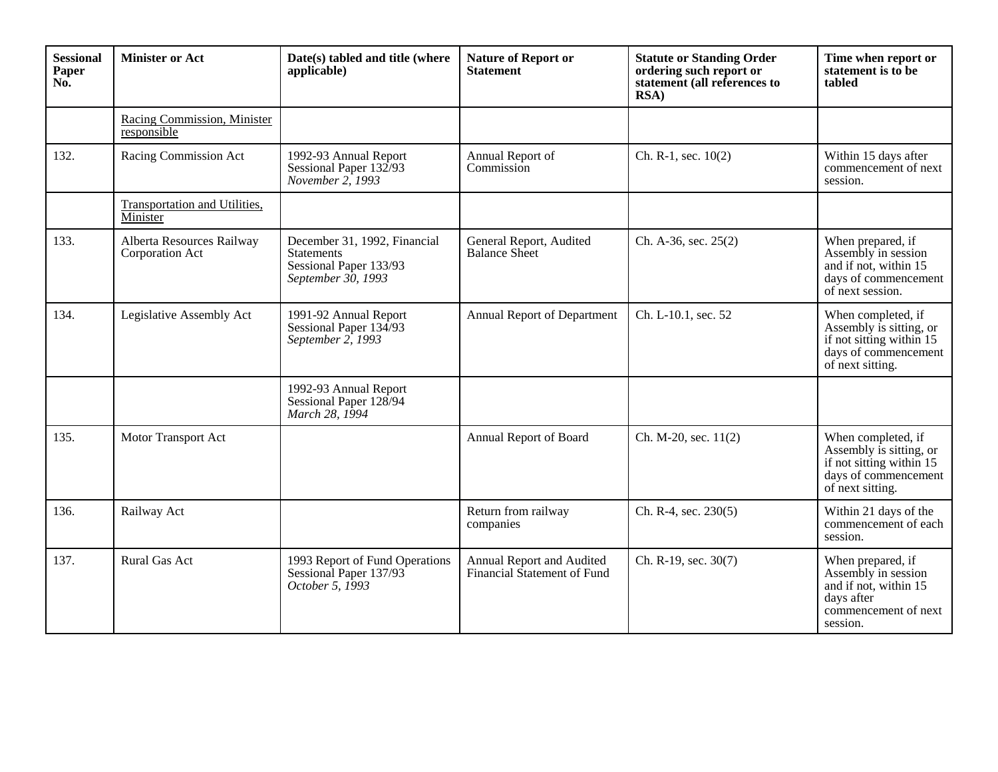| <b>Sessional</b><br>Paper<br>No. | <b>Minister or Act</b>                       | Date(s) tabled and title (where<br>applicable)                                                    | <b>Nature of Report or</b><br><b>Statement</b>           | <b>Statute or Standing Order</b><br>ordering such report or<br>statement (all references to<br>RSA) | Time when report or<br>statement is to be<br>tabled                                                                   |
|----------------------------------|----------------------------------------------|---------------------------------------------------------------------------------------------------|----------------------------------------------------------|-----------------------------------------------------------------------------------------------------|-----------------------------------------------------------------------------------------------------------------------|
|                                  | Racing Commission, Minister<br>responsible   |                                                                                                   |                                                          |                                                                                                     |                                                                                                                       |
| 132.                             | Racing Commission Act                        | 1992-93 Annual Report<br>Sessional Paper 132/93<br>November $2,1993$                              | Annual Report of<br>Commission                           | Ch. R-1, sec. 10(2)                                                                                 | Within 15 days after<br>commencement of next<br>session.                                                              |
|                                  | Transportation and Utilities,<br>Minister    |                                                                                                   |                                                          |                                                                                                     |                                                                                                                       |
| 133.                             | Alberta Resources Railway<br>Corporation Act | December 31, 1992, Financial<br><b>Statements</b><br>Sessional Paper 133/93<br>September 30, 1993 | General Report, Audited<br><b>Balance Sheet</b>          | Ch. A-36, sec. 25(2)                                                                                | When prepared, if<br>Assembly in session<br>and if not, within 15<br>days of commencement<br>of next session.         |
| 134.                             | Legislative Assembly Act                     | 1991-92 Annual Report<br>Sessional Paper 134/93<br>September 2, 1993                              | Annual Report of Department                              | Ch. L-10.1, sec. 52                                                                                 | When completed, if<br>Assembly is sitting, or<br>if not sitting within 15<br>days of commencement<br>of next sitting. |
|                                  |                                              | 1992-93 Annual Report<br>Sessional Paper 128/94<br>March 28, 1994                                 |                                                          |                                                                                                     |                                                                                                                       |
| 135.                             | Motor Transport Act                          |                                                                                                   | Annual Report of Board                                   | Ch. M-20, sec. 11(2)                                                                                | When completed, if<br>Assembly is sitting, or<br>if not sitting within 15<br>days of commencement<br>of next sitting. |
| 136.                             | Railway Act                                  |                                                                                                   | Return from railway<br>companies                         | Ch. R-4, sec. 230(5)                                                                                | Within 21 days of the<br>commencement of each<br>session.                                                             |
| 137.                             | <b>Rural Gas Act</b>                         | 1993 Report of Fund Operations<br>Sessional Paper 137/93<br>October 5, 1993                       | Annual Report and Audited<br>Financial Statement of Fund | Ch. R-19, sec. 30(7)                                                                                | When prepared, if<br>Assembly in session<br>and if not, within 15<br>days after<br>commencement of next<br>session.   |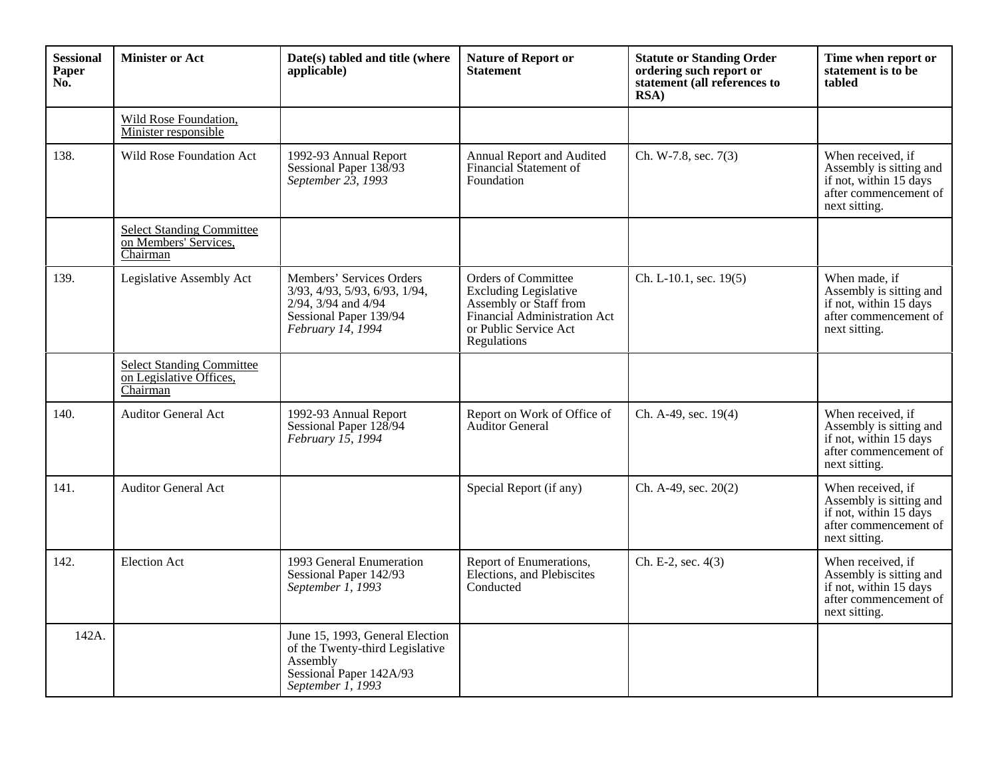| <b>Sessional</b><br>Paper<br>No. | <b>Minister or Act</b>                                                  | Date(s) tabled and title (where<br>applicable)                                                                                  | <b>Nature of Report or</b><br><b>Statement</b>                                                                                                               | <b>Statute or Standing Order</b><br>ordering such report or<br>statement (all references to<br>RSA) | Time when report or<br>statement is to be<br>tabled                                                              |
|----------------------------------|-------------------------------------------------------------------------|---------------------------------------------------------------------------------------------------------------------------------|--------------------------------------------------------------------------------------------------------------------------------------------------------------|-----------------------------------------------------------------------------------------------------|------------------------------------------------------------------------------------------------------------------|
|                                  | Wild Rose Foundation,<br>Minister responsible                           |                                                                                                                                 |                                                                                                                                                              |                                                                                                     |                                                                                                                  |
| 138.                             | Wild Rose Foundation Act                                                | 1992-93 Annual Report<br>Sessional Paper 138/93<br>September 23, 1993                                                           | Annual Report and Audited<br>Financial Statement of<br>Foundation                                                                                            | Ch. W-7.8, sec. 7(3)                                                                                | When received, if<br>Assembly is sitting and<br>if not, within 15 days<br>after commencement of<br>next sitting. |
|                                  | <b>Select Standing Committee</b><br>on Members' Services,<br>Chairman   |                                                                                                                                 |                                                                                                                                                              |                                                                                                     |                                                                                                                  |
| 139.                             | Legislative Assembly Act                                                | Members' Services Orders<br>3/93, 4/93, 5/93, 6/93, 1/94,<br>2/94, 3/94 and 4/94<br>Sessional Paper 139/94<br>February 14, 1994 | <b>Orders of Committee</b><br><b>Excluding Legislative</b><br>Assembly or Staff from<br>Financial Administration Act<br>or Public Service Act<br>Regulations | Ch. L-10.1, sec. 19(5)                                                                              | When made, if<br>Assembly is sitting and<br>if not, within 15 days<br>after commencement of<br>next sitting.     |
|                                  | <b>Select Standing Committee</b><br>on Legislative Offices,<br>Chairman |                                                                                                                                 |                                                                                                                                                              |                                                                                                     |                                                                                                                  |
| 140.                             | <b>Auditor General Act</b>                                              | 1992-93 Annual Report<br>Sessional Paper 128/94<br>February 15, 1994                                                            | Report on Work of Office of<br><b>Auditor General</b>                                                                                                        | Ch. A-49, sec. 19(4)                                                                                | When received, if<br>Assembly is sitting and<br>if not, within 15 days<br>after commencement of<br>next sitting. |
| 141.                             | <b>Auditor General Act</b>                                              |                                                                                                                                 | Special Report (if any)                                                                                                                                      | Ch. A-49, sec. 20(2)                                                                                | When received, if<br>Assembly is sitting and<br>if not, within 15 days<br>after commencement of<br>next sitting. |
| 142.                             | <b>Election Act</b>                                                     | 1993 General Enumeration<br>Sessional Paper 142/93<br>September 1, 1993                                                         | Report of Enumerations,<br>Elections, and Plebiscites<br>Conducted                                                                                           | Ch. E-2, sec. 4(3)                                                                                  | When received, if<br>Assembly is sitting and<br>if not, within 15 days<br>after commencement of<br>next sitting. |
| 142A.                            |                                                                         | June 15, 1993, General Election<br>of the Twenty-third Legislative<br>Assembly<br>Sessional Paper 142A/93<br>September 1, 1993  |                                                                                                                                                              |                                                                                                     |                                                                                                                  |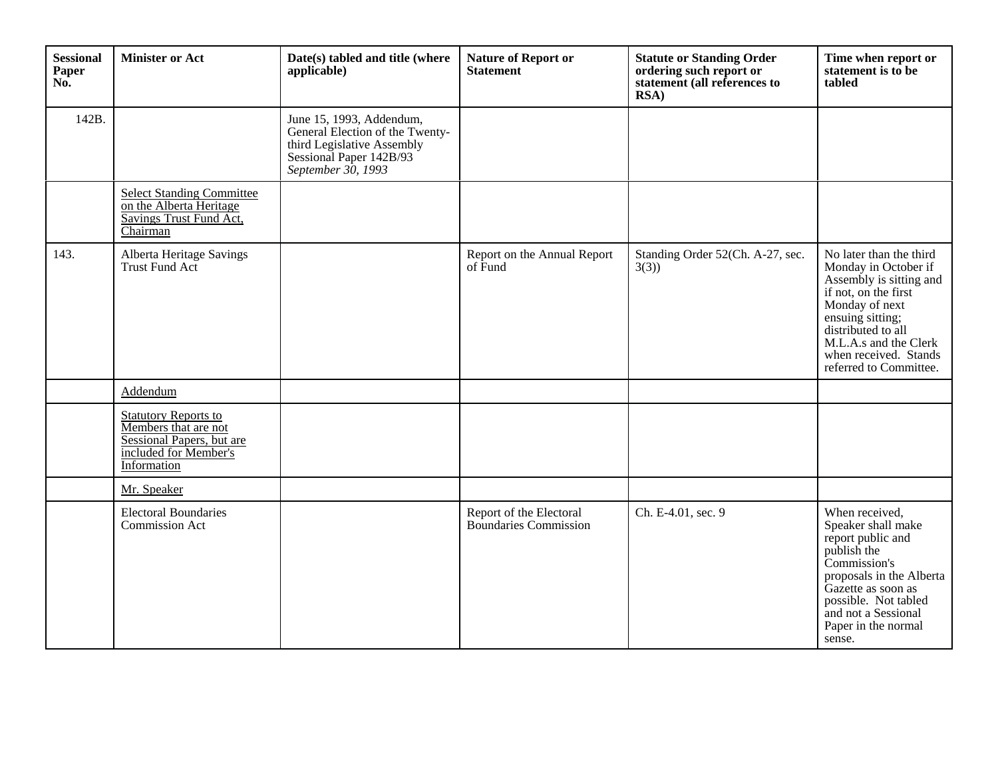| <b>Sessional</b><br>Paper<br>No. | <b>Minister or Act</b>                                                                                                   | Date(s) tabled and title (where<br>applicable)                                                                                             | <b>Nature of Report or</b><br><b>Statement</b>          | <b>Statute or Standing Order</b><br>ordering such report or<br>statement (all references to<br>RSA) | Time when report or<br>statement is to be<br>tabled                                                                                                                                                                                        |
|----------------------------------|--------------------------------------------------------------------------------------------------------------------------|--------------------------------------------------------------------------------------------------------------------------------------------|---------------------------------------------------------|-----------------------------------------------------------------------------------------------------|--------------------------------------------------------------------------------------------------------------------------------------------------------------------------------------------------------------------------------------------|
| 142B.                            |                                                                                                                          | June 15, 1993, Addendum,<br>General Election of the Twenty-<br>third Legislative Assembly<br>Sessional Paper 142B/93<br>September 30, 1993 |                                                         |                                                                                                     |                                                                                                                                                                                                                                            |
|                                  | <b>Select Standing Committee</b><br>on the Alberta Heritage<br>Savings Trust Fund Act,<br>Chairman                       |                                                                                                                                            |                                                         |                                                                                                     |                                                                                                                                                                                                                                            |
| 143.                             | Alberta Heritage Savings<br>Trust Fund Act                                                                               |                                                                                                                                            | Report on the Annual Report<br>of Fund                  | Standing Order 52(Ch. A-27, sec.<br>3(3)                                                            | No later than the third<br>Monday in October if<br>Assembly is sitting and<br>if not, on the first<br>Monday of next<br>ensuing sitting;<br>distributed to all<br>M.L.A.s and the Clerk<br>when received. Stands<br>referred to Committee. |
|                                  | Addendum                                                                                                                 |                                                                                                                                            |                                                         |                                                                                                     |                                                                                                                                                                                                                                            |
|                                  | <b>Statutory Reports to</b><br>Members that are not<br>Sessional Papers, but are<br>included for Member's<br>Information |                                                                                                                                            |                                                         |                                                                                                     |                                                                                                                                                                                                                                            |
|                                  | Mr. Speaker                                                                                                              |                                                                                                                                            |                                                         |                                                                                                     |                                                                                                                                                                                                                                            |
|                                  | <b>Electoral Boundaries</b><br><b>Commission Act</b>                                                                     |                                                                                                                                            | Report of the Electoral<br><b>Boundaries Commission</b> | Ch. E-4.01, sec. 9                                                                                  | When received,<br>Speaker shall make<br>report public and<br>publish the<br>Commission's<br>proposals in the Alberta<br>Gazette as soon as<br>possible. Not tabled<br>and not a Sessional<br>Paper in the normal<br>sense.                 |